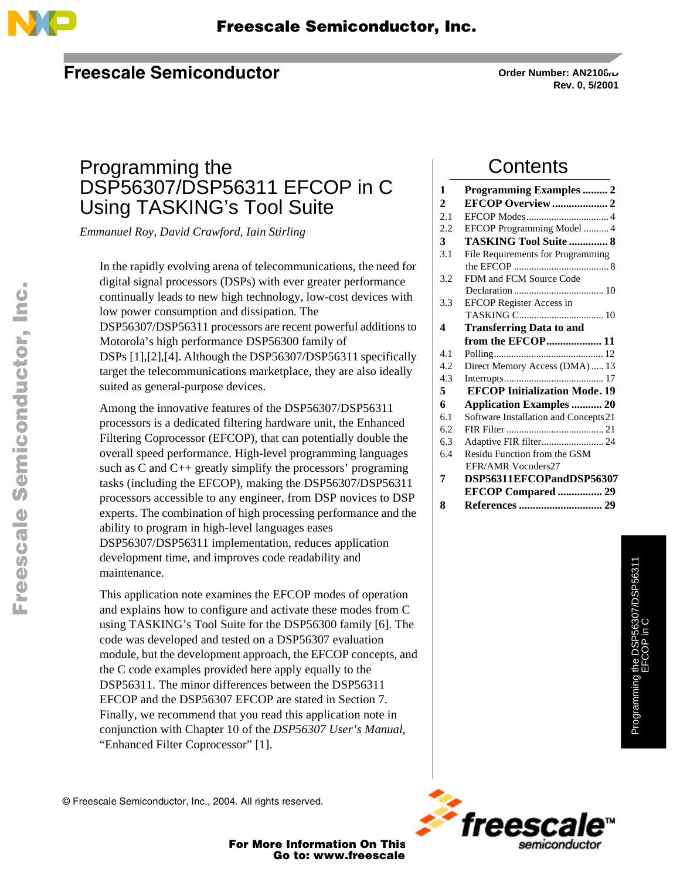

#### **Freescale Semiconductor**

**Order Number: AN2108/D Rev. 0, 5/2001**

### Programming the DSP56307/DSP56311 EFCOP in C Using TASKING's Tool Suite

*Emmanuel Roy, David Crawford, Iain Stirling*

In the rapidly evolving arena of telecommunications, the need for digital signal processors (DSPs) with ever greater performance continually leads to new high technology, low-cost devices with low power consumption and dissipation. The DSP56307/DSP56311 processors are recent powerful additions to Motorola's high performance DSP56300 family of DSPs [\[1\],\[2\]](#page-28-0),[\[4\].](#page-28-0) Although the DSP56307/DSP56311 specifically target the telecommunications marketplace, they are also ideally suited as general-purpose devices.

Among the innovative features of the DSP56307/DSP56311 processors is a dedicated filtering hardware unit, the Enhanced Filtering Coprocessor (EFCOP), that can potentially double the overall speed performance. High-level programming languages such as C and C++ greatly simplify the processors' programing tasks (including the EFCOP), making the DSP56307/DSP56311 processors accessible to any engineer, from DSP novices to DSP experts. The combination of high processing performance and the ability to program in high-level languages eases DSP56307/DSP56311 implementation, reduces application development time, and improves code readability and maintenance.

This application note examines the EFCOP modes of operation and explains how to configure and activate these modes from C using TASKING's Tool Suite for the DSP56300 family [\[6\]](#page-28-0). The code was developed and tested on a DSP56307 evaluation module, but the development approach, the EFCOP concepts, and the C code examples provided here apply equally to the DSP56311. The minor differences between the DSP56311 EFCOP and the DSP56307 EFCOP are stated in [Section 7](#page-28-0). Finally, we recommend that you read this application note in conjunction with Chapter 10 of the *DSP56307 User's Manual*, "Enhanced Filter Coprocessor" [\[1\]](#page-28-0).

### **Contents**

| 1   | <b>Programming Examples  2</b>        |  |  |  |
|-----|---------------------------------------|--|--|--|
| 2   | <b>EFCOP Overview 2</b>               |  |  |  |
| 2.1 |                                       |  |  |  |
| 2.2 | EFCOP Programming Model  4            |  |  |  |
| 3   | <b>TASKING Tool Suite  8</b>          |  |  |  |
| 3.1 | File Requirements for Programming     |  |  |  |
|     |                                       |  |  |  |
| 3.2 | FDM and FCM Source Code               |  |  |  |
|     |                                       |  |  |  |
| 3.3 | <b>EFCOP</b> Register Access in       |  |  |  |
|     |                                       |  |  |  |
| 4   | <b>Transferring Data to and</b>       |  |  |  |
|     | from the EFCOP 11                     |  |  |  |
| 4.1 |                                       |  |  |  |
| 4.2 | Direct Memory Access (DMA)  13        |  |  |  |
| 4.3 |                                       |  |  |  |
| 5   | <b>EFCOP Initialization Mode. 19</b>  |  |  |  |
| 6   | <b>Application Examples  20</b>       |  |  |  |
| 6.1 | Software Installation and Concepts 21 |  |  |  |
| 6.2 |                                       |  |  |  |
| 6.3 | Adaptive FIR filter 24                |  |  |  |
| 6.4 | Residu Function from the GSM          |  |  |  |
|     | EFR/AMR Vocoders27                    |  |  |  |
| 7   | DSP56311EFCOPandDSP56307              |  |  |  |
|     |                                       |  |  |  |
|     | <b>EFCOP Compared  29</b>             |  |  |  |
| 8   |                                       |  |  |  |

Programming the DSP56307/DSP56311 Programming the DSP56307/DSP56311<br>EFCOP in C EFCOP in C



© Freescale Semiconductor, Inc., 2004. All rights reserved.

For More Information On This<br>Go to: www.freescale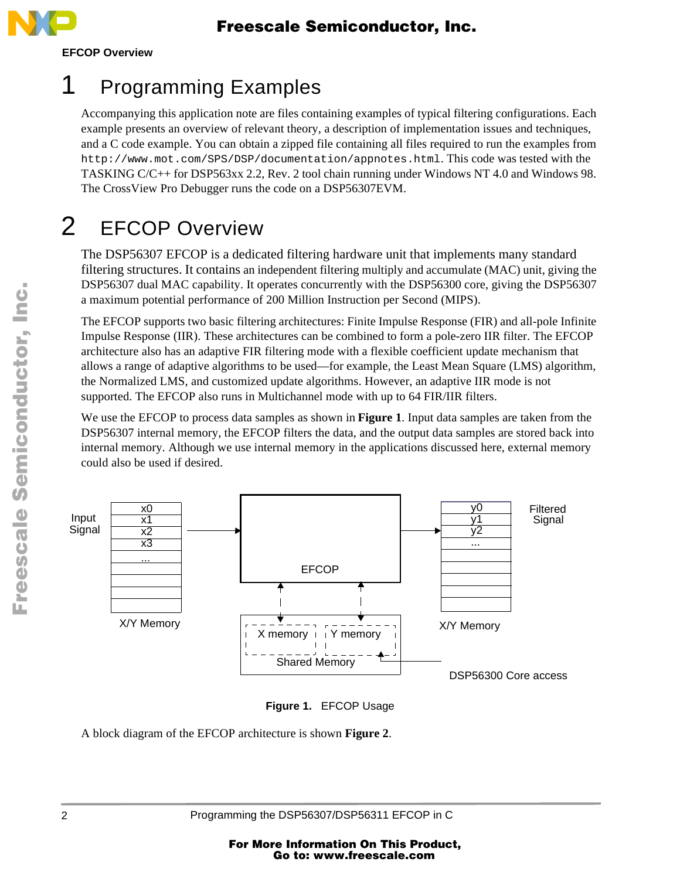

# 1 Programming Examples

Accompanying this application note are files containing examples of typical filtering configurations. Each example presents an overview of relevant theory, a description of implementation issues and techniques, and a C code example. You can obtain a zipped file containing all files required to run the examples from http://www.mot.com/SPS/DSP/documentation/appnotes.html. This code was tested with the TASKING C/C++ for DSP563xx 2.2, Rev. 2 tool chain running under Windows NT 4.0 and Windows 98. The CrossView Pro Debugger runs the code on a DSP56307EVM.

# 2 EFCOP Overview

The DSP56307 EFCOP is a dedicated filtering hardware unit that implements many standard filtering structures. It contains an independent filtering multiply and accumulate (MAC) unit, giving the DSP56307 dual MAC capability. It operates concurrently with the DSP56300 core, giving the DSP56307 a maximum potential performance of 200 Million Instruction per Second (MIPS).

The EFCOP supports two basic filtering architectures: Finite Impulse Response (FIR) and all-pole Infinite Impulse Response (IIR). These architectures can be combined to form a pole-zero IIR filter. The EFCOP architecture also has an adaptive FIR filtering mode with a flexible coefficient update mechanism that allows a range of adaptive algorithms to be used—for example, the Least Mean Square (LMS) algorithm, the Normalized LMS, and customized update algorithms. However, an adaptive IIR mode is not supported. The EFCOP also runs in Multichannel mode with up to 64 FIR/IIR filters.

We use the EFCOP to process data samples as shown in **Figure 1**. Input data samples are taken from the DSP56307 internal memory, the EFCOP filters the data, and the output data samples are stored back into internal memory. Although we use internal memory in the applications discussed here, external memory could also be used if desired.





A block diagram of the EFCOP architecture is shown **[Figure 2](#page-2-0)**.

2 Programming the DSP56307/DSP56311 EFCOP in C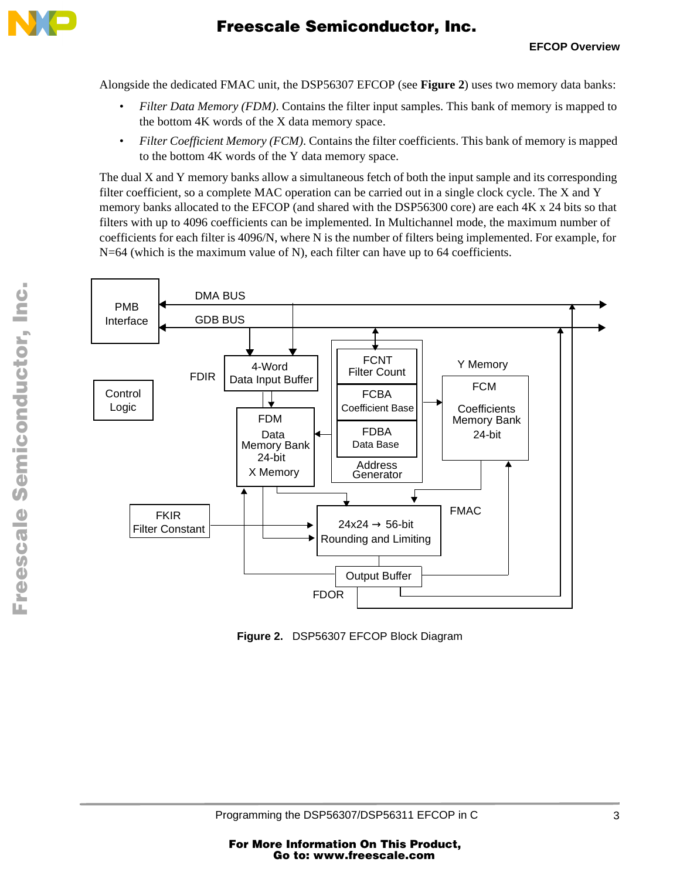<span id="page-2-0"></span>

Alongside the dedicated FMAC unit, the DSP56307 EFCOP (see **Figure 2**) uses two memory data banks:

- *Filter Data Memory (FDM)*. Contains the filter input samples. This bank of memory is mapped to the bottom 4K words of the X data memory space.
- *Filter Coefficient Memory (FCM)*. Contains the filter coefficients. This bank of memory is mapped to the bottom 4K words of the Y data memory space.

The dual X and Y memory banks allow a simultaneous fetch of both the input sample and its corresponding filter coefficient, so a complete MAC operation can be carried out in a single clock cycle. The X and Y memory banks allocated to the EFCOP (and shared with the DSP56300 core) are each 4K x 24 bits so that filters with up to 4096 coefficients can be implemented. In Multichannel mode, the maximum number of coefficients for each filter is 4096/N, where N is the number of filters being implemented. For example, for N=64 (which is the maximum value of N), each filter can have up to 64 coefficients.



**Figure 2.** DSP56307 EFCOP Block Diagram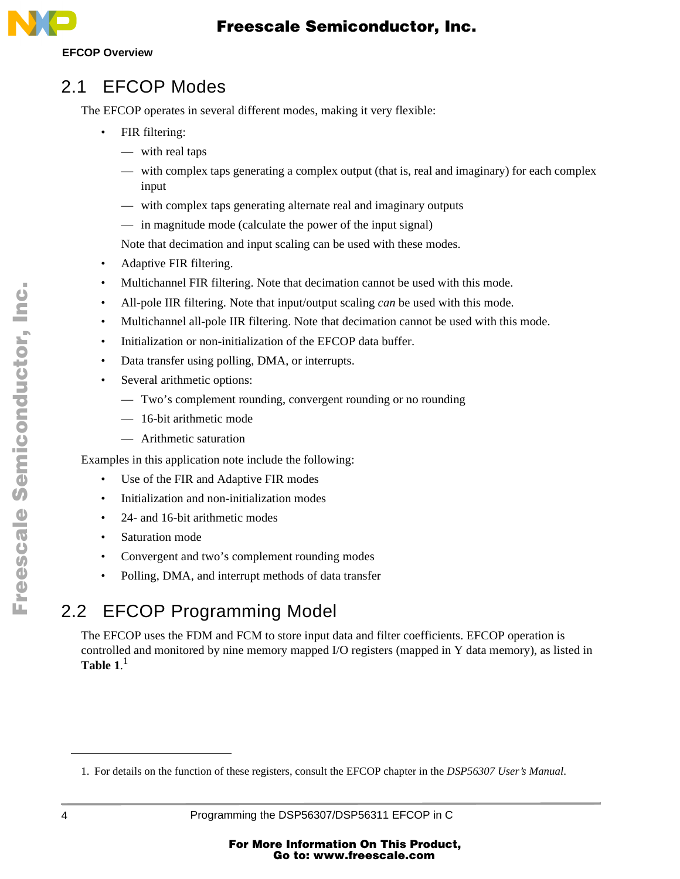

#### **EFCOP Overview**

#### 2.1 EFCOP Modes

The EFCOP operates in several different modes, making it very flexible:

- FIR filtering:
	- with real taps
	- with complex taps generating a complex output (that is, real and imaginary) for each complex input
	- with complex taps generating alternate real and imaginary outputs
	- in magnitude mode (calculate the power of the input signal)

Note that decimation and input scaling can be used with these modes.

- Adaptive FIR filtering.
- Multichannel FIR filtering. Note that decimation cannot be used with this mode.
- All-pole IIR filtering. Note that input/output scaling *can* be used with this mode.
- Multichannel all-pole IIR filtering. Note that decimation cannot be used with this mode.
- Initialization or non-initialization of the EFCOP data buffer.
- Data transfer using polling, DMA, or interrupts.
- Several arithmetic options:
	- Two's complement rounding, convergent rounding or no rounding
	- 16-bit arithmetic mode
	- Arithmetic saturation

Examples in this application note include the following:

- Use of the FIR and Adaptive FIR modes
- Initialization and non-initialization modes
- 24- and 16-bit arithmetic modes
- Saturation mode
- Convergent and two's complement rounding modes
- Polling, DMA, and interrupt methods of data transfer

## 2.2 EFCOP Programming Model

The EFCOP uses the FDM and FCM to store input data and filter coefficients. EFCOP operation is controlled and monitored by nine memory mapped I/O registers (mapped in Y data memory), as listed in **[Table 1](#page-4-0)**. 1

.<br>ق

F

<sup>1.</sup> For details on the function of these registers, consult the EFCOP chapter in the *DSP56307 User's Manual*.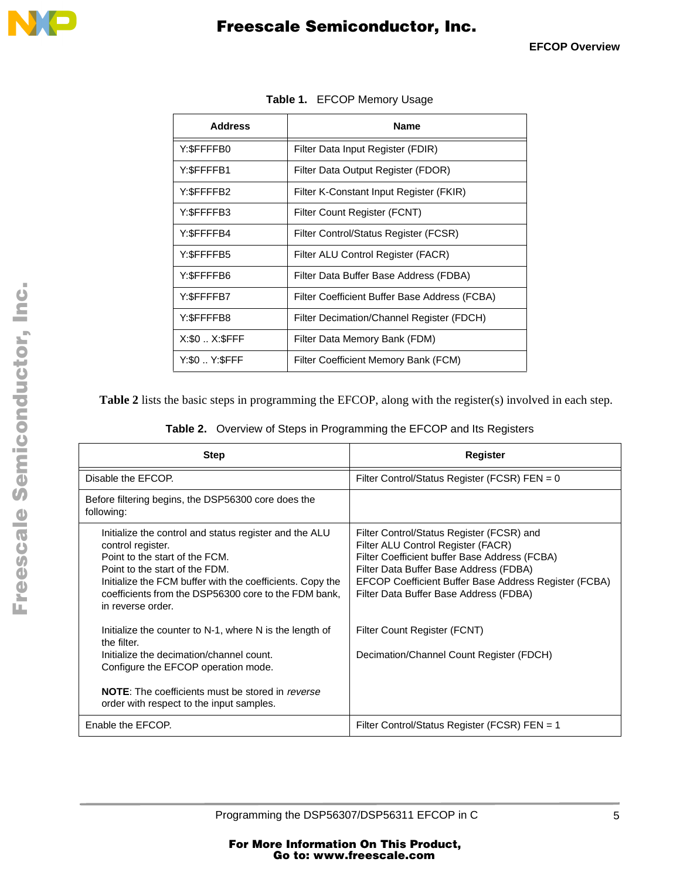<span id="page-4-0"></span>

| <b>Address</b> | <b>Name</b>                                   |  |  |
|----------------|-----------------------------------------------|--|--|
| Y:\$FFFFB0     | Filter Data Input Register (FDIR)             |  |  |
| Y:\$FFFFB1     | Filter Data Output Register (FDOR)            |  |  |
| Y:\$FFFFB2     | Filter K-Constant Input Register (FKIR)       |  |  |
| Y:\$FFFFB3     | Filter Count Register (FCNT)                  |  |  |
| Y:\$FFFFB4     | Filter Control/Status Register (FCSR)         |  |  |
| Y:\$FFFFB5     | Filter ALU Control Register (FACR)            |  |  |
| Y:\$FFFFB6     | Filter Data Buffer Base Address (FDBA)        |  |  |
| Y:\$FFFFB7     | Filter Coefficient Buffer Base Address (FCBA) |  |  |
| Y:\$FFFFB8     | Filter Decimation/Channel Register (FDCH)     |  |  |
| X:\$0  X:\$FFF | Filter Data Memory Bank (FDM)                 |  |  |
| Y:\$0  Y:\$FFF | Filter Coefficient Memory Bank (FCM)          |  |  |

**Table 1.** EFCOP Memory Usage

**Table 2** lists the basic steps in programming the EFCOP, along with the register(s) involved in each step.

| <b>Step</b>                                                                                                                                                                                                                                                                               | Register                                                                                                                                                                                                                                                                      |
|-------------------------------------------------------------------------------------------------------------------------------------------------------------------------------------------------------------------------------------------------------------------------------------------|-------------------------------------------------------------------------------------------------------------------------------------------------------------------------------------------------------------------------------------------------------------------------------|
| Disable the EFCOP.                                                                                                                                                                                                                                                                        | Filter Control/Status Register (FCSR) FEN = 0                                                                                                                                                                                                                                 |
| Before filtering begins, the DSP56300 core does the<br>following:                                                                                                                                                                                                                         |                                                                                                                                                                                                                                                                               |
| Initialize the control and status register and the ALU<br>control register.<br>Point to the start of the FCM.<br>Point to the start of the FDM.<br>Initialize the FCM buffer with the coefficients. Copy the<br>coefficients from the DSP56300 core to the FDM bank,<br>in reverse order. | Filter Control/Status Register (FCSR) and<br>Filter ALU Control Register (FACR)<br>Filter Coefficient buffer Base Address (FCBA)<br>Filter Data Buffer Base Address (FDBA)<br>EFCOP Coefficient Buffer Base Address Register (FCBA)<br>Filter Data Buffer Base Address (FDBA) |
| Initialize the counter to N-1, where N is the length of<br>the filter.<br>Initialize the decimation/channel count.<br>Configure the EFCOP operation mode.<br><b>NOTE:</b> The coefficients must be stored in <i>reverse</i><br>order with respect to the input samples.                   | Filter Count Register (FCNT)<br>Decimation/Channel Count Register (FDCH)                                                                                                                                                                                                      |
| Enable the EFCOP.                                                                                                                                                                                                                                                                         | Filter Control/Status Register (FCSR) FEN = 1                                                                                                                                                                                                                                 |

t o

r, I

n

.<br>ق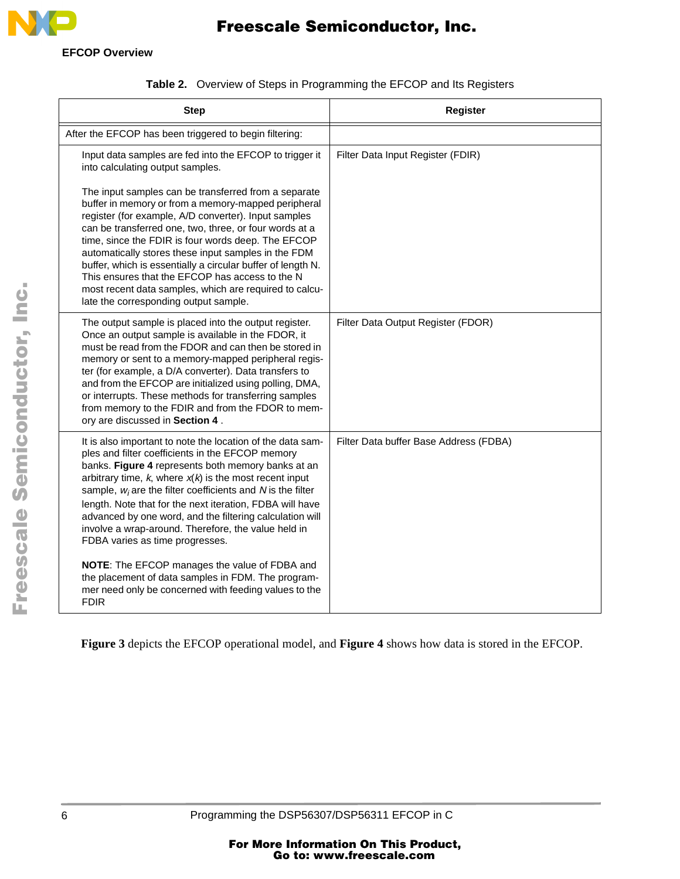

**EFCOP Overview**

| <b>Step</b>                                                                                                                                                                                                                                                                                                                                                                                                                                                                                                                                                                                                                                                                                           | <b>Register</b>                        |
|-------------------------------------------------------------------------------------------------------------------------------------------------------------------------------------------------------------------------------------------------------------------------------------------------------------------------------------------------------------------------------------------------------------------------------------------------------------------------------------------------------------------------------------------------------------------------------------------------------------------------------------------------------------------------------------------------------|----------------------------------------|
| After the EFCOP has been triggered to begin filtering:                                                                                                                                                                                                                                                                                                                                                                                                                                                                                                                                                                                                                                                |                                        |
| Input data samples are fed into the EFCOP to trigger it<br>into calculating output samples.<br>The input samples can be transferred from a separate<br>buffer in memory or from a memory-mapped peripheral<br>register (for example, A/D converter). Input samples<br>can be transferred one, two, three, or four words at a<br>time, since the FDIR is four words deep. The EFCOP<br>automatically stores these input samples in the FDM<br>buffer, which is essentially a circular buffer of length N.<br>This ensures that the EFCOP has access to the N<br>most recent data samples, which are required to calcu-<br>late the corresponding output sample.                                        | Filter Data Input Register (FDIR)      |
| The output sample is placed into the output register.<br>Once an output sample is available in the FDOR, it<br>must be read from the FDOR and can then be stored in<br>memory or sent to a memory-mapped peripheral regis-<br>ter (for example, a D/A converter). Data transfers to<br>and from the EFCOP are initialized using polling, DMA,<br>or interrupts. These methods for transferring samples<br>from memory to the FDIR and from the FDOR to mem-<br>ory are discussed in Section 4.                                                                                                                                                                                                        | Filter Data Output Register (FDOR)     |
| It is also important to note the location of the data sam-<br>ples and filter coefficients in the EFCOP memory<br>banks. Figure 4 represents both memory banks at an<br>arbitrary time, $k$ , where $x(k)$ is the most recent input<br>sample, $w_i$ are the filter coefficients and N is the filter<br>length. Note that for the next iteration, FDBA will have<br>advanced by one word, and the filtering calculation will<br>involve a wrap-around. Therefore, the value held in<br>FDBA varies as time progresses.<br>NOTE: The EFCOP manages the value of FDBA and<br>the placement of data samples in FDM. The program-<br>mer need only be concerned with feeding values to the<br><b>FDIR</b> | Filter Data buffer Base Address (FDBA) |

|  |  |  | <b>Table 2.</b> Overview of Steps in Programming the EFCOP and Its Registers |
|--|--|--|------------------------------------------------------------------------------|
|--|--|--|------------------------------------------------------------------------------|

**[Figure 3](#page-6-0)** depicts the EFCOP operational model, and **[Figure 4](#page-6-0)** shows how data is stored in the EFCOP.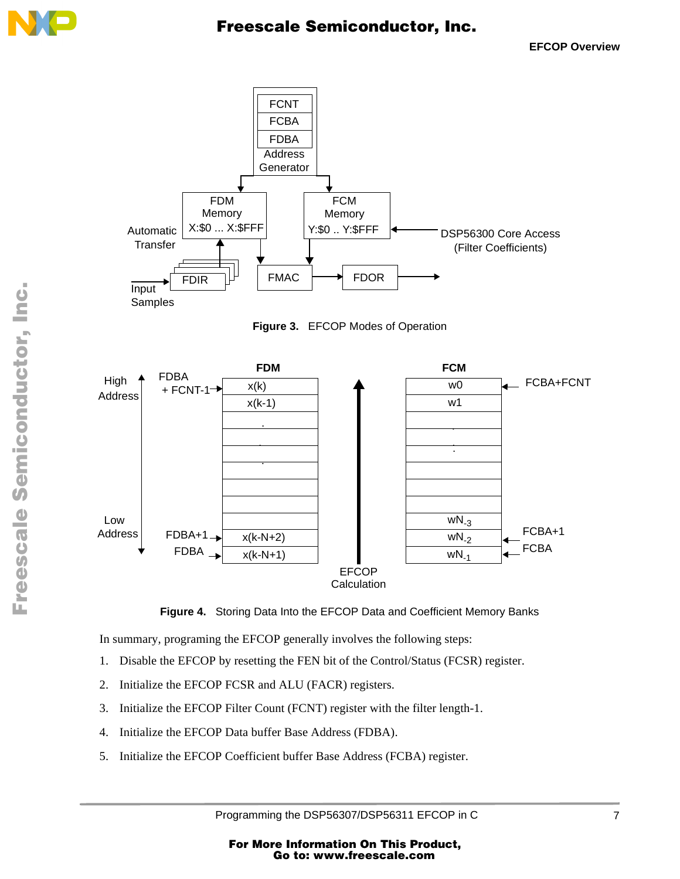<span id="page-6-0"></span>



**Figure 3.** EFCOP Modes of Operation





In summary, programing the EFCOP generally involves the following steps:

- 1. Disable the EFCOP by resetting the FEN bit of the Control/Status (FCSR) register.
- 2. Initialize the EFCOP FCSR and ALU (FACR) registers.
- 3. Initialize the EFCOP Filter Count (FCNT) register with the filter length-1.
- 4. Initialize the EFCOP Data buffer Base Address (FDBA).
- 5. Initialize the EFCOP Coefficient buffer Base Address (FCBA) register.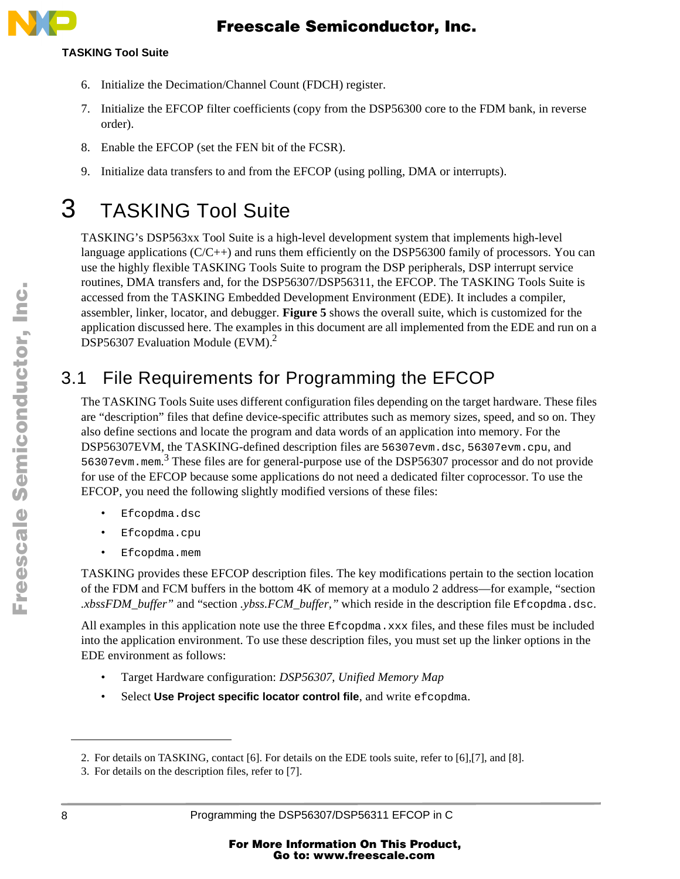#### **TASKING Tool Suite**

- 6. Initialize the Decimation/Channel Count (FDCH) register.
- 7. Initialize the EFCOP filter coefficients (copy from the DSP56300 core to the FDM bank, in reverse order).
- 8. Enable the EFCOP (set the FEN bit of the FCSR).
- 9. Initialize data transfers to and from the EFCOP (using polling, DMA or interrupts).

# 3 TASKING Tool Suite

TASKING's DSP563xx Tool Suite is a high-level development system that implements high-level language applications  $(C/C+1)$  and runs them efficiently on the DSP56300 family of processors. You can use the highly flexible TASKING Tools Suite to program the DSP peripherals, DSP interrupt service routines, DMA transfers and, for the DSP56307/DSP56311, the EFCOP. The TASKING Tools Suite is accessed from the TASKING Embedded Development Environment (EDE). It includes a compiler, assembler, linker, locator, and debugger. **[Figure 5](#page-8-0)** shows the overall suite, which is customized for the application discussed here. The examples in this document are all implemented from the EDE and run on a DSP56307 Evaluation Module (EVM).<sup>2</sup>

## 3.1 File Requirements for Programming the EFCOP

The TASKING Tools Suite uses different configuration files depending on the target hardware. These files are "description" files that define device-specific attributes such as memory sizes, speed, and so on. They also define sections and locate the program and data words of an application into memory. For the DSP56307EVM, the TASKING-defined description files are 56307evm.dsc*,* 56307evm.cpu, and 56307evm.mem. <sup>3</sup> These files are for general-purpose use of the DSP56307 processor and do not provide for use of the EFCOP because some applications do not need a dedicated filter coprocessor. To use the EFCOP, you need the following slightly modified versions of these files:

- Efcopdma.dsc
- Efcopdma.cpu
- Efcopdma.mem

TASKING provides these EFCOP description files. The key modifications pertain to the section location of the FDM and FCM buffers in the bottom 4K of memory at a modulo 2 address—for example, "section *.xbssFDM\_buffer"* and "section *.ybss.FCM\_buffer,"* which reside in the description file Efcopdma.dsc.

All examples in this application note use the three Efcopdma.xxx files, and these files must be included into the application environment. To use these description files, you must set up the linker options in the EDE environment as follows:

- Target Hardware configuration: *DSP56307, Unified Memory Map*
- Select Use Project specific locator control file, and write efcopdma.

<sup>2.</sup> For details on TASKING, contact [\[6\].](#page-28-0) For details on the EDE tools suite, refer to [\[6\]](#page-28-0),[\[7\]](#page-28-0), and [\[8\].](#page-28-0)

<sup>3.</sup> For details on the description files, refer to [\[7\].](#page-28-0)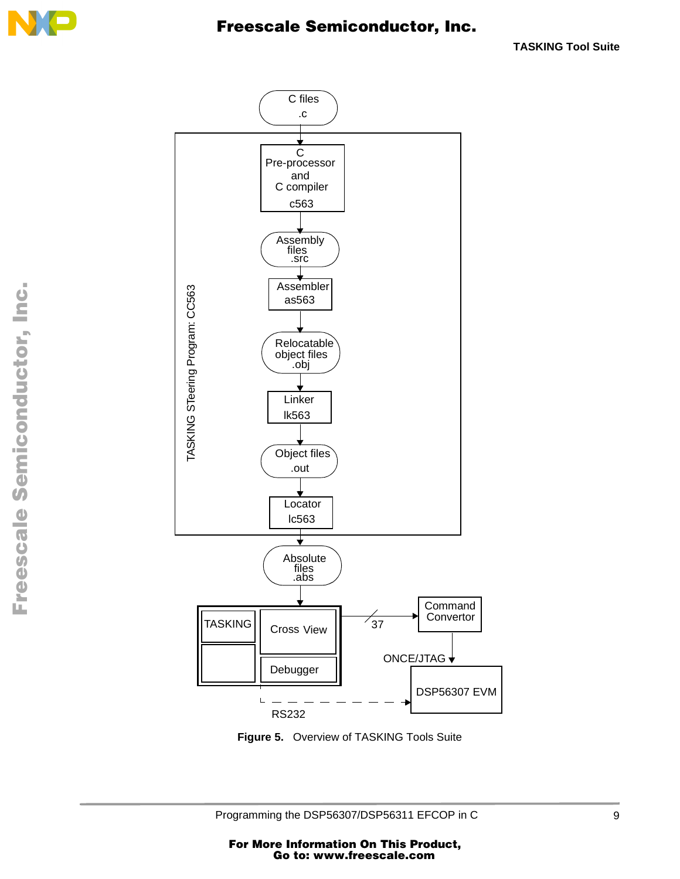<span id="page-8-0"></span>



**Figure 5.** Overview of TASKING Tools Suite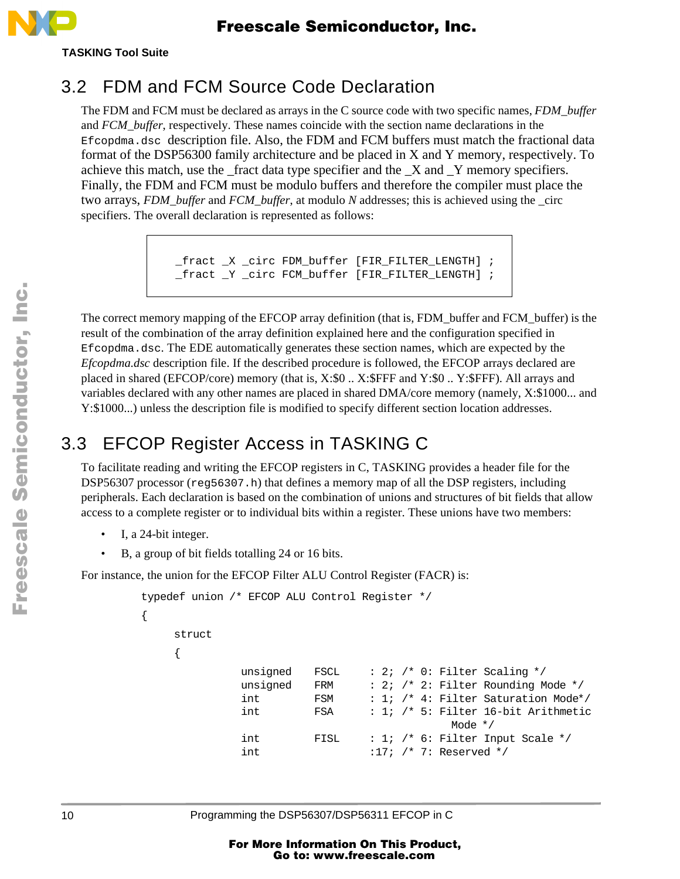

**TASKING Tool Suite**

### 3.2 FDM and FCM Source Code Declaration

The FDM and FCM must be declared as arrays in the C source code with two specific names, *FDM\_buffer* and *FCM\_buffer*, respectively. These names coincide with the section name declarations in the Efcopdma.dsc description file. Also, the FDM and FCM buffers must match the fractional data format of the DSP56300 family architecture and be placed in X and Y memory, respectively. To achieve this match, use the \_fract data type specifier and the \_X and \_Y memory specifiers. Finally, the FDM and FCM must be modulo buffers and therefore the compiler must place the two arrays, *FDM\_buffer* and *FCM\_buffer*, at modulo *N* addresses; this is achieved using the \_circ specifiers. The overall declaration is represented as follows:

```
_fract _X _circ FDM_buffer [FIR_FILTER_LENGTH] ;
_fract _Y _circ FCM_buffer [FIR_FILTER_LENGTH] ;
```
The correct memory mapping of the EFCOP array definition (that is, FDM\_buffer and FCM\_buffer) is the result of the combination of the array definition explained here and the configuration specified in Efcopdma.dsc. The EDE automatically generates these section names, which are expected by the *Efcopdma.dsc* description file. If the described procedure is followed, the EFCOP arrays declared are placed in shared (EFCOP/core) memory (that is, X:\$0 .. X:\$FFF and Y:\$0 .. Y:\$FFF). All arrays and variables declared with any other names are placed in shared DMA/core memory (namely, X:\$1000... and Y:\$1000...) unless the description file is modified to specify different section location addresses.

## 3.3 EFCOP Register Access in TASKING C

To facilitate reading and writing the EFCOP registers in C, TASKING provides a header file for the DSP56307 processor (req56307.h) that defines a memory map of all the DSP registers, including peripherals. Each declaration is based on the combination of unions and structures of bit fields that allow access to a complete register or to individual bits within a register. These unions have two members:

• I, a 24-bit integer.

{

• B, a group of bit fields totalling 24 or 16 bits.

For instance, the union for the EFCOP Filter ALU Control Register (FACR) is:

```
typedef union /* EFCOP ALU Control Register */
    struct
    {
             unsigned FSCL : 2; /* 0: Filter Scaling */unsigned FRM : 2; /* 2: Filter Rounding Mode */int FSM : 1; /* 4: Filter Saturation Mode*/
             int FSA : 1; /* 5: Filter 16-bit Arithmetic
                                        Mode */
             int FISL : 1; /* 6: Filter Input Scale */
             int :17; /* 7: Reserved */
```
t o

r, I

n

.<br>ق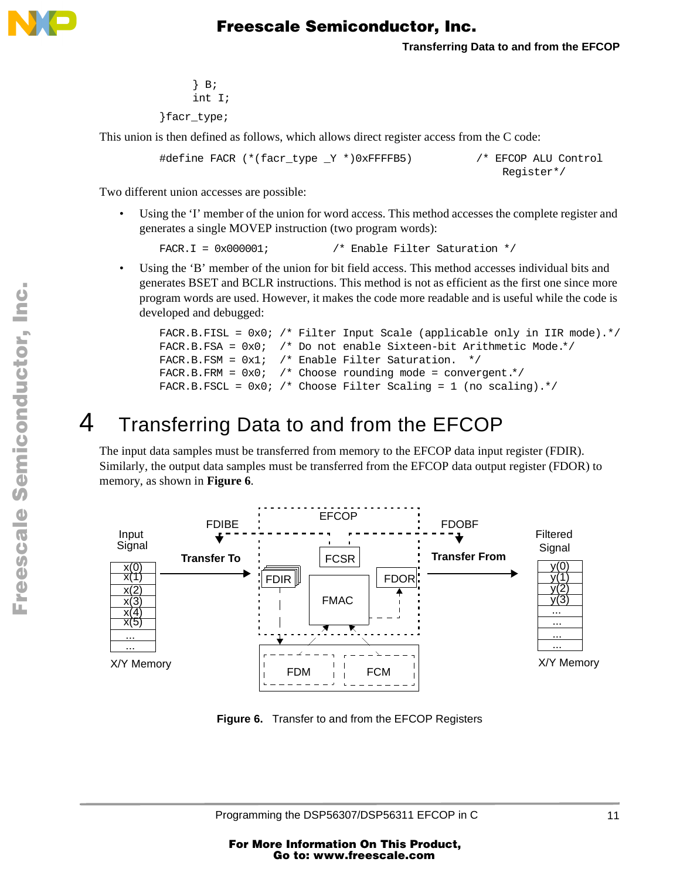<span id="page-10-0"></span>

```
} B;
     int I;
}facr_type;
```
This union is then defined as follows, which allows direct register access from the C code:

```
#define FACR (*(facr_type _Y *)0xFFFFB5) /* EFCOP ALU Control
```

```
Register*/
```
Two different union accesses are possible:

Using the 'I' member of the union for word access. This method accesses the complete register and generates a single MOVEP instruction (two program words):

```
FACR.I = 0x000001; /* Enable Filter Saturation */
```
Using the 'B' member of the union for bit field access. This method accesses individual bits and generates BSET and BCLR instructions. This method is not as efficient as the first one since more program words are used. However, it makes the code more readable and is useful while the code is developed and debugged:

```
FACR.B.FISL = 0x0; /* Filter Input Scale (applicable only in IIR mode).*/
FACR.B.FSA = 0x0; /* Do not enable Sixteen-bit Arithmetic Mode.*/
FACR.B.FSM = 0x1; /* Enable Filter Saturation. */
FACR.B.FRM = 0x0; /* Choose rounding mode = convergent.*/
FACR.B.FSCL = 0x0; /* Choose Filter Scaling = 1 (no scaling).*/
```
# 4 Transferring Data to and from the EFCOP

The input data samples must be transferred from memory to the EFCOP data input register (FDIR). Similarly, the output data samples must be transferred from the EFCOP data output register (FDOR) to memory, as shown in **Figure 6**.



**Figure 6.** Transfer to and from the EFCOP Registers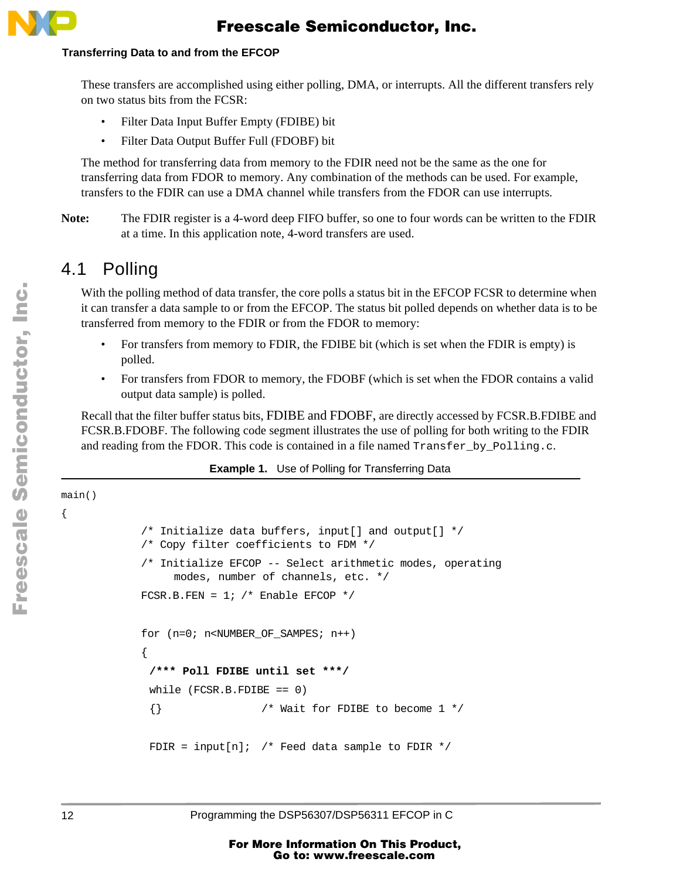

#### **Transferring Data to and from the EFCOP**

These transfers are accomplished using either polling, DMA, or interrupts. All the different transfers rely on two status bits from the FCSR:

- Filter Data Input Buffer Empty (FDIBE) bit
- Filter Data Output Buffer Full (FDOBF) bit

The method for transferring data from memory to the FDIR need not be the same as the one for transferring data from FDOR to memory. Any combination of the methods can be used. For example, transfers to the FDIR can use a DMA channel while transfers from the FDOR can use interrupts.

**Note:** The FDIR register is a 4-word deep FIFO buffer, so one to four words can be written to the FDIR at a time. In this application note, 4-word transfers are used.

#### 4.1 Polling

With the polling method of data transfer, the core polls a status bit in the EFCOP FCSR to determine when it can transfer a data sample to or from the EFCOP. The status bit polled depends on whether data is to be transferred from memory to the FDIR or from the FDOR to memory:

- For transfers from memory to FDIR, the FDIBE bit (which is set when the FDIR is empty) is polled.
- For transfers from FDOR to memory, the FDOBF (which is set when the FDOR contains a valid output data sample) is polled.

Recall that the filter buffer status bits, FDIBE and FDOBF, are directly accessed by FCSR.B.FDIBE and FCSR.B.FDOBF. The following code segment illustrates the use of polling for both writing to the FDIR and reading from the FDOR. This code is contained in a file named  $Transfer\ by\ Polling.c.$ 

#### **Example 1.** Use of Polling for Transferring Data

```
main()
{
            /* Initialize data buffers, input[] and output[] */
            /* Copy filter coefficients to FDM */
            /* Initialize EFCOP -- Select arithmetic modes, operating
                  modes, number of channels, etc. */
            FCSR.B.FEN = 1; /* Enable EFCOP */for (n=0; n<NUMBER OF SAMPES; n++)
            {
             /*** Poll FDIBE until set ***/
             while (FCSR.B.FDIBE == 0){} /* Wait for FDIBE to become 1 */
             FDIR = input[n]; /* Feed data sample to FDIR */
```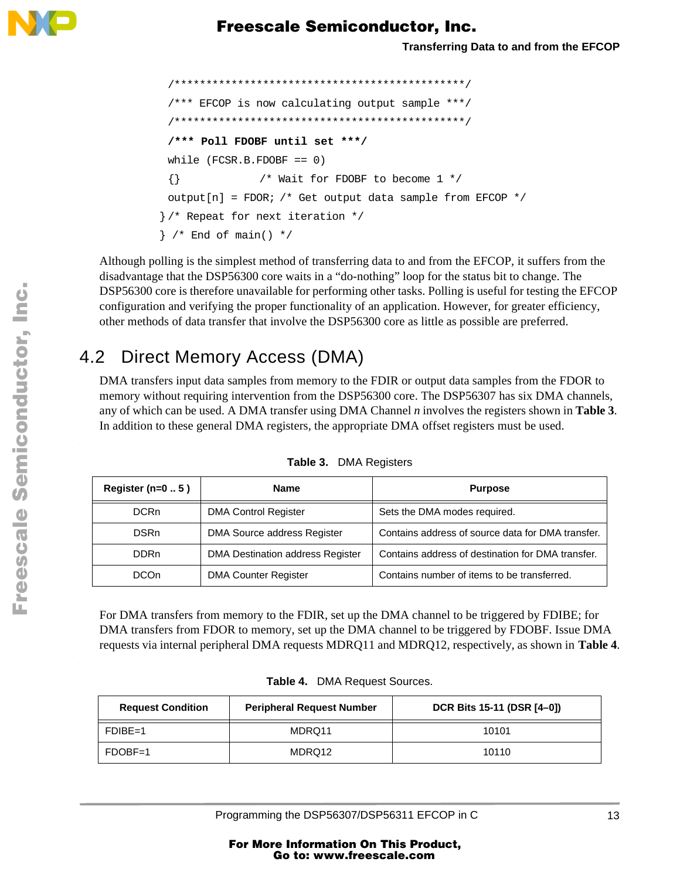

```
/**********************************************/
 /*** EFCOP is now calculating output sample ***/
 /**********************************************/
 /*** Poll FDOBF until set ***/
 while (FCSR.B.FDOBF == 0){} /* Wait for FDOBF to become 1 */
 output[n] = FDOR; /* Get output data sample from EFCOP */} /* Repeat for next iteration */
\} /* End of main() */
```
Although polling is the simplest method of transferring data to and from the EFCOP, it suffers from the disadvantage that the DSP56300 core waits in a "do-nothing" loop for the status bit to change. The DSP56300 core is therefore unavailable for performing other tasks. Polling is useful for testing the EFCOP configuration and verifying the proper functionality of an application. However, for greater efficiency, other methods of data transfer that involve the DSP56300 core as little as possible are preferred.

### 4.2 Direct Memory Access (DMA)

DMA transfers input data samples from memory to the FDIR or output data samples from the FDOR to memory without requiring intervention from the DSP56300 core. The DSP56307 has six DMA channels, any of which can be used. A DMA transfer using DMA Channel *n* involves the registers shown in **Table 3**. In addition to these general DMA registers, the appropriate DMA offset registers must be used.

| Register ( $n=05$ ) | <b>Name</b><br><b>Purpose</b>    |                                                   |
|---------------------|----------------------------------|---------------------------------------------------|
| <b>DCRn</b>         | <b>DMA Control Register</b>      | Sets the DMA modes required.                      |
| <b>DSRn</b>         | DMA Source address Register      | Contains address of source data for DMA transfer. |
| DDR <sub>n</sub>    | DMA Destination address Register | Contains address of destination for DMA transfer. |
| DCO <sub>n</sub>    | <b>DMA Counter Register</b>      | Contains number of items to be transferred.       |

**Table 3.** DMA Registers

For DMA transfers from memory to the FDIR, set up the DMA channel to be triggered by FDIBE; for DMA transfers from FDOR to memory, set up the DMA channel to be triggered by FDOBF. Issue DMA requests via internal peripheral DMA requests MDRQ11 and MDRQ12, respectively, as shown in **Table 4**.

| <b>Peripheral Request Number</b><br><b>Request Condition</b> |        | DCR Bits 15-11 (DSR [4-0]) |  |  |
|--------------------------------------------------------------|--------|----------------------------|--|--|
| $FDIBE=1$                                                    | MDRQ11 | 10101                      |  |  |
| $FDOBF=1$                                                    | MDRQ12 | 10110                      |  |  |

u  $\mathbf 0$ t o

r, I

n

.<br>ق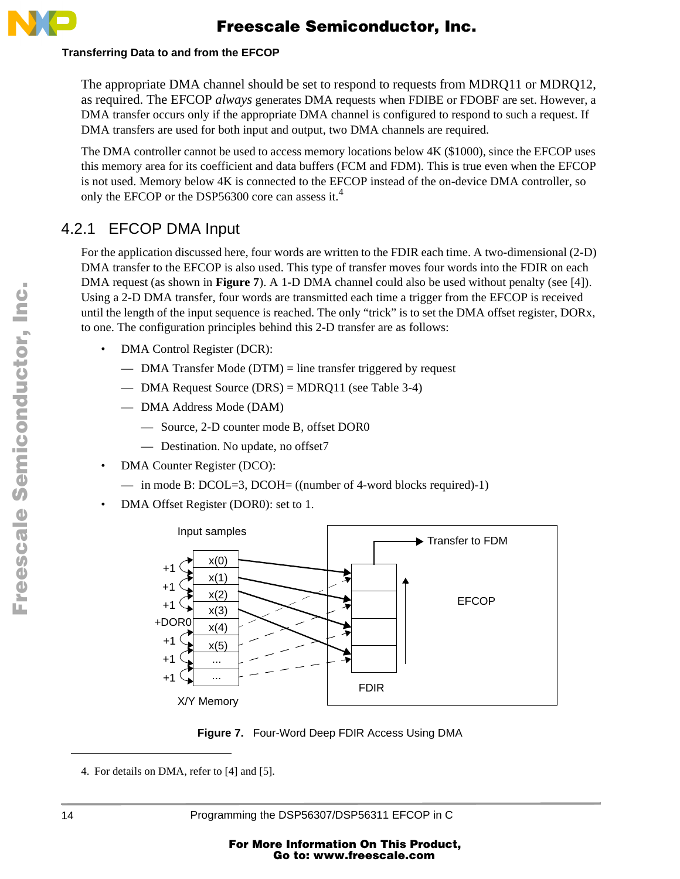

#### **Transferring Data to and from the EFCOP**

The appropriate DMA channel should be set to respond to requests from MDRQ11 or MDRQ12, as required. The EFCOP *always* generates DMA requests when FDIBE or FDOBF are set. However, a DMA transfer occurs only if the appropriate DMA channel is configured to respond to such a request. If DMA transfers are used for both input and output, two DMA channels are required.

The DMA controller cannot be used to access memory locations below 4K (\$1000), since the EFCOP uses this memory area for its coefficient and data buffers (FCM and FDM). This is true even when the EFCOP is not used. Memory below 4K is connected to the EFCOP instead of the on-device DMA controller, so only the EFCOP or the DSP56300 core can assess it.<sup>4</sup>

#### 4.2.1 EFCOP DMA Input

For the application discussed here, four words are written to the FDIR each time. A two-dimensional (2-D) DMA transfer to the EFCOP is also used. This type of transfer moves four words into the FDIR on each DMA request (as shown in **Figure 7**). A 1-D DMA channel could also be used without penalty (se[e \[4\]](#page-28-0)). Using a 2-D DMA transfer, four words are transmitted each time a trigger from the EFCOP is received until the length of the input sequence is reached. The only "trick" is to set the DMA offset register, DORx, to one. The configuration principles behind this 2-D transfer are as follows:

- DMA Control Register (DCR):
	- DMA Transfer Mode  $(DTM)$  = line transfer triggered by request
	- DMA Request Source (DRS) = MDRQ11 (see Table 3-4)
	- DMA Address Mode (DAM)
		- Source, 2-D counter mode B, offset DOR0
		- Destination. No update, no offset7
- DMA Counter Register (DCO):
	- in mode B: DCOL=3, DCOH= ((number of 4-word blocks required)-1)
- DMA Offset Register (DOR0): set to 1.



**Figure 7.** Four-Word Deep FDIR Access Using DMA

<sup>4.</sup> For details on DMA, refer to [\[4\]](#page-28-0) and [\[5\]](#page-28-0).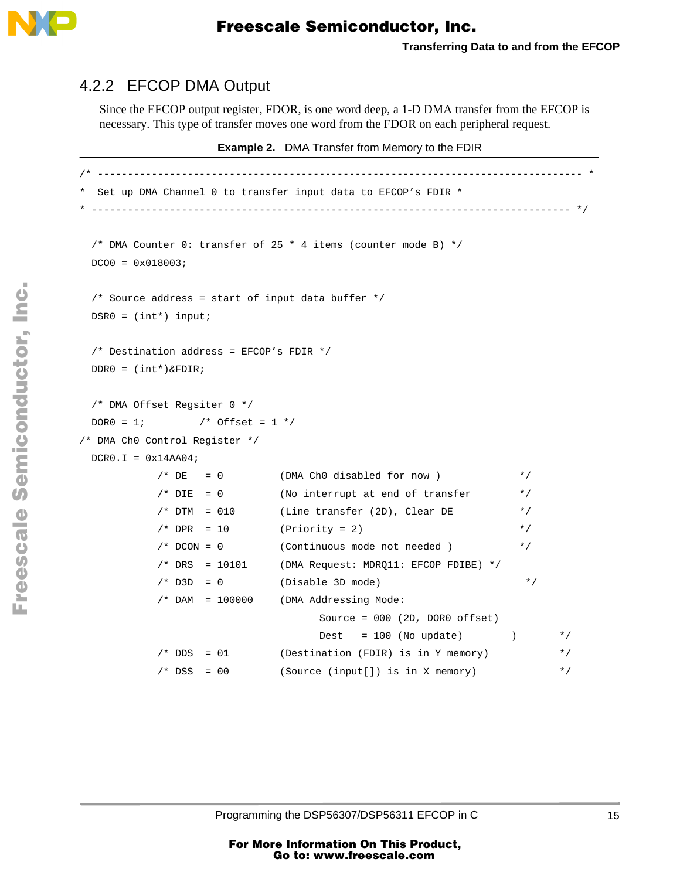

#### 4.2.2 EFCOP DMA Output

Since the EFCOP output register, FDOR, is one word deep, a 1-D DMA transfer from the EFCOP is necessary. This type of transfer moves one word from the FDOR on each peripheral request.

**Example 2.** DMA Transfer from Memory to the FDIR

```
/* --------------------------------------------------------------------------------- *
 Set up DMA Channel 0 to transfer input data to EFCOP's FDIR *
 * -------------------------------------------------------------------------------- */
  /* DMA Counter 0: transfer of 25 * 4 items (counter mode B) */
 DCOO = 0 \times 018003; /* Source address = start of input data buffer */
 DSR0 = (int*) input; /* Destination address = EFCOP's FDIR */
  DDR0 = (int*)&FDIR;
  /* DMA Offset Regsiter 0 */
 DOR0 = 1; /* Offset = 1 */
/* DMA Ch0 Control Register */
 DCR0.1 = 0x14AAA4;
           /* DE = 0 (DMA Ch0 disabled for now ) *//* DIE = 0 (No interrupt at end of transfer */
           /* DTM = 010 (Line transfer (2D), Clear DE */
           /* DPR = 10 (Priority = 2) */
            /* DCON = 0 (Continuous mode not needed ) */
           /* DRS = 10101 (DMA Request: MDRQ11: EFCOP FDIBE) */
           /* D3D = 0 (Disable 3D mode) * /
            /* DAM = 100000 (DMA Addressing Mode:
                                   Source = 000 (2D, DOR0 offset)
                                 Dest = 100 (No update) \ast//* DDS = 01 (Destination (FDIR) is in Y memory) */
           /* DSS = 00 (Source (input[]) is in X memory) *
```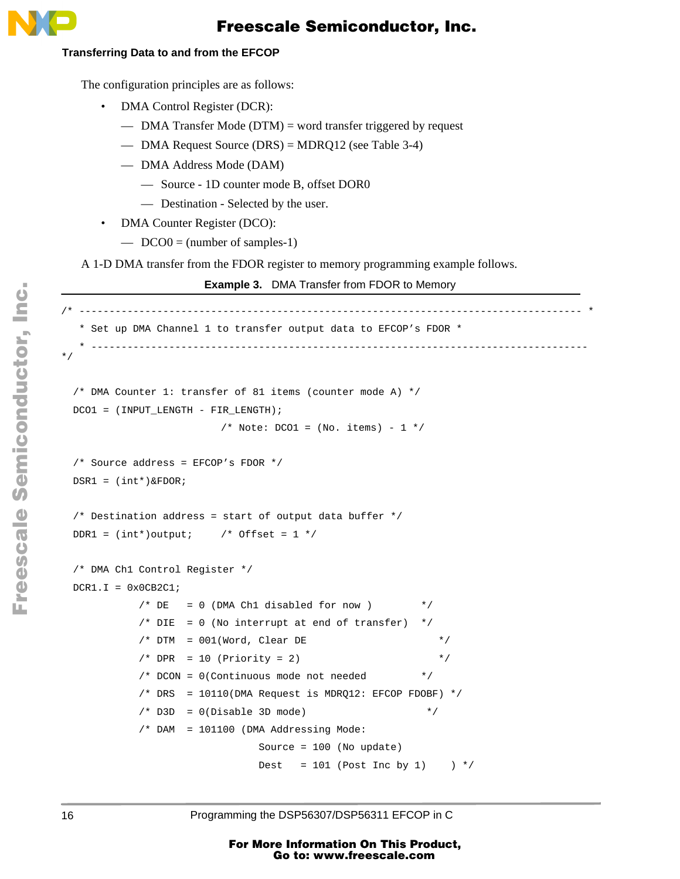

#### **Transferring Data to and from the EFCOP**

The configuration principles are as follows:

- DMA Control Register (DCR):
	- DMA Transfer Mode (DTM) = word transfer triggered by request
	- DMA Request Source (DRS) = MDRQ12 (see Table 3-4)
	- DMA Address Mode (DAM)
		- Source 1D counter mode B, offset DOR0
		- Destination Selected by the user.
- DMA Counter Register (DCO):
	- $\sim$  DCO0 = (number of samples-1)

A 1-D DMA transfer from the FDOR register to memory programming example follows.

```
Example 3. DMA Transfer from FDOR to Memory
```

```
/* ------------------------------------------------------------------------------------ *
   * Set up DMA Channel 1 to transfer output data to EFCOP's FDOR *
       * ----------------------------------------------------------------------------------- 
*/
  /* DMA Counter 1: transfer of 81 items (counter mode A) */
 DCO1 = (INPUT LENGTH - FIR LENGTH);/* Note: DCO1 = (No. items) - 1 */
  /* Source address = EFCOP's FDOR */
 DSR1 = (int*)\&FDOR; /* Destination address = start of output data buffer */
 DDR1 = (int*)output; /* Offset = 1 */
  /* DMA Ch1 Control Register */
 DCR1.I = 0x0CB2C1;/* DE = 0 (DMA Ch1 disabled for now) */
           /* DIE = 0 (No interrupt at end of transfer) *//* DTM = 001(Word, Clear DE */
           /* DPR = 10 (Priority = 2) */
            /* DCON = 0(Continuous mode not needed */
           /* DRS = 10110(DMA Request is MDRQ12: EFCOP FDOBF) */
           /* D3D = 0(Disable 3D mode) */
            /* DAM = 101100 (DMA Addressing Mode:
                               Source = 100 (No update)
                              Dest = 101 (Post Inc by 1) */
```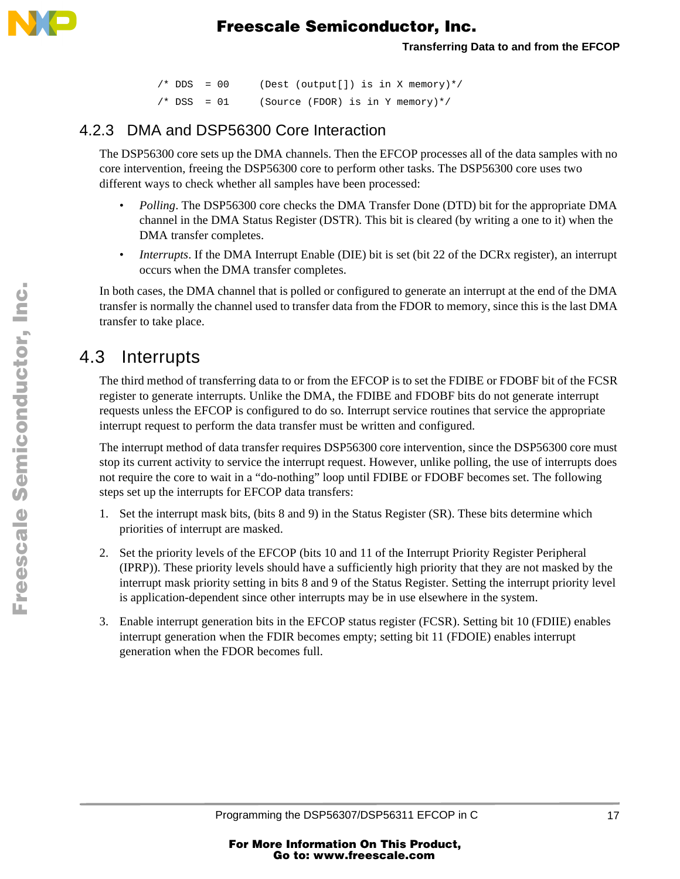

```
/* DDS = 00 (Dest (output[]) is in X memory) */
/* DSS = 01 (Source (FDOR) is in Y memory) */
```
#### 4.2.3 DMA and DSP56300 Core Interaction

The DSP56300 core sets up the DMA channels. Then the EFCOP processes all of the data samples with no core intervention, freeing the DSP56300 core to perform other tasks. The DSP56300 core uses two different ways to check whether all samples have been processed:

- *Polling*. The DSP56300 core checks the DMA Transfer Done (DTD) bit for the appropriate DMA channel in the DMA Status Register (DSTR). This bit is cleared (by writing a one to it) when the DMA transfer completes.
- *Interrupts*. If the DMA Interrupt Enable (DIE) bit is set (bit 22 of the DCRx register), an interrupt occurs when the DMA transfer completes.

In both cases, the DMA channel that is polled or configured to generate an interrupt at the end of the DMA transfer is normally the channel used to transfer data from the FDOR to memory, since this is the last DMA transfer to take place.

### 4.3 Interrupts

The third method of transferring data to or from the EFCOP is to set the FDIBE or FDOBF bit of the FCSR register to generate interrupts. Unlike the DMA, the FDIBE and FDOBF bits do not generate interrupt requests unless the EFCOP is configured to do so. Interrupt service routines that service the appropriate interrupt request to perform the data transfer must be written and configured.

The interrupt method of data transfer requires DSP56300 core intervention, since the DSP56300 core must stop its current activity to service the interrupt request. However, unlike polling, the use of interrupts does not require the core to wait in a "do-nothing" loop until FDIBE or FDOBF becomes set. The following steps set up the interrupts for EFCOP data transfers:

- 1. Set the interrupt mask bits, (bits 8 and 9) in the Status Register (SR). These bits determine which priorities of interrupt are masked.
- 2. Set the priority levels of the EFCOP (bits 10 and 11 of the Interrupt Priority Register Peripheral (IPRP)). These priority levels should have a sufficiently high priority that they are not masked by the interrupt mask priority setting in bits 8 and 9 of the Status Register. Setting the interrupt priority level is application-dependent since other interrupts may be in use elsewhere in the system.
- 3. Enable interrupt generation bits in the EFCOP status register (FCSR). Setting bit 10 (FDIIE) enables interrupt generation when the FDIR becomes empty; setting bit 11 (FDOIE) enables interrupt generation when the FDOR becomes full.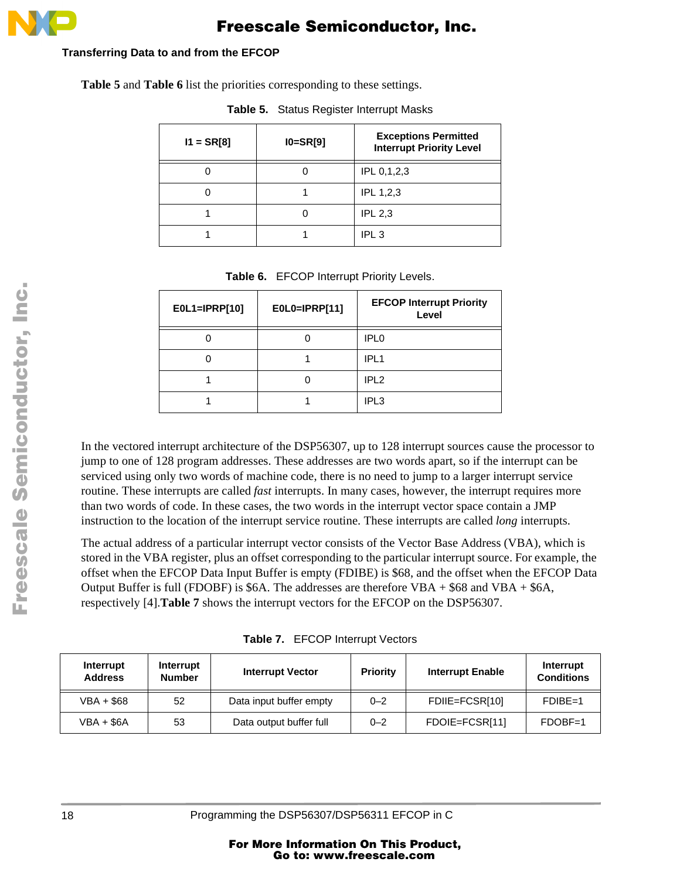

#### **Transferring Data to and from the EFCOP**

**Table 5** and **Table 6** list the priorities corresponding to these settings.

| $11 = SRT8$ | $IO=SR[9]$ | <b>Exceptions Permitted</b><br><b>Interrupt Priority Level</b> |
|-------------|------------|----------------------------------------------------------------|
|             |            | IPL 0,1,2,3                                                    |
|             |            | <b>IPL 1,2,3</b>                                               |
|             |            | <b>IPL 2,3</b>                                                 |
|             |            | IPL <sub>3</sub>                                               |

**Table 5.** Status Register Interrupt Masks

**Table 6.** EFCOP Interrupt Priority Levels.

| E0L1=IPRP[10] | E0L0=IPRP[11] | <b>EFCOP Interrupt Priority</b><br>Level |
|---------------|---------------|------------------------------------------|
|               |               | IPL <sub>0</sub>                         |
|               |               | IPL <sub>1</sub>                         |
|               |               | IPL <sub>2</sub>                         |
|               |               | IPL <sub>3</sub>                         |

In the vectored interrupt architecture of the DSP56307, up to 128 interrupt sources cause the processor to jump to one of 128 program addresses. These addresses are two words apart, so if the interrupt can be serviced using only two words of machine code, there is no need to jump to a larger interrupt service routine. These interrupts are called *fast* interrupts. In many cases, however, the interrupt requires more than two words of code. In these cases, the two words in the interrupt vector space contain a JMP instruction to the location of the interrupt service routine. These interrupts are called *long* interrupts.

The actual address of a particular interrupt vector consists of the Vector Base Address (VBA), which is stored in the VBA register, plus an offset corresponding to the particular interrupt source. For example, the offset when the EFCOP Data Input Buffer is empty (FDIBE) is \$68, and the offset when the EFCOP Data Output Buffer is full (FDOBF) is \$6A. The addresses are therefore VBA + \$68 and VBA + \$6A, respectively [\[4\]](#page-28-0).**Table 7** shows the interrupt vectors for the EFCOP on the DSP56307.

**Table 7.** EFCOP Interrupt Vectors

| Interrupt<br><b>Address</b> | Interrupt<br><b>Number</b> | <b>Interrupt Vector</b> | <b>Priority</b> | <b>Interrupt Enable</b> | Interrupt<br><b>Conditions</b> |
|-----------------------------|----------------------------|-------------------------|-----------------|-------------------------|--------------------------------|
| $VBA + $68$                 | 52                         | Data input buffer empty | $0 - 2$         | FDIE=FCSR[10]           | $FDIBE=1$                      |
| VBA + \$6A                  | 53                         | Data output buffer full | $0 - 2$         | FDOIE=FCSR[11]          | $FDOBF=1$                      |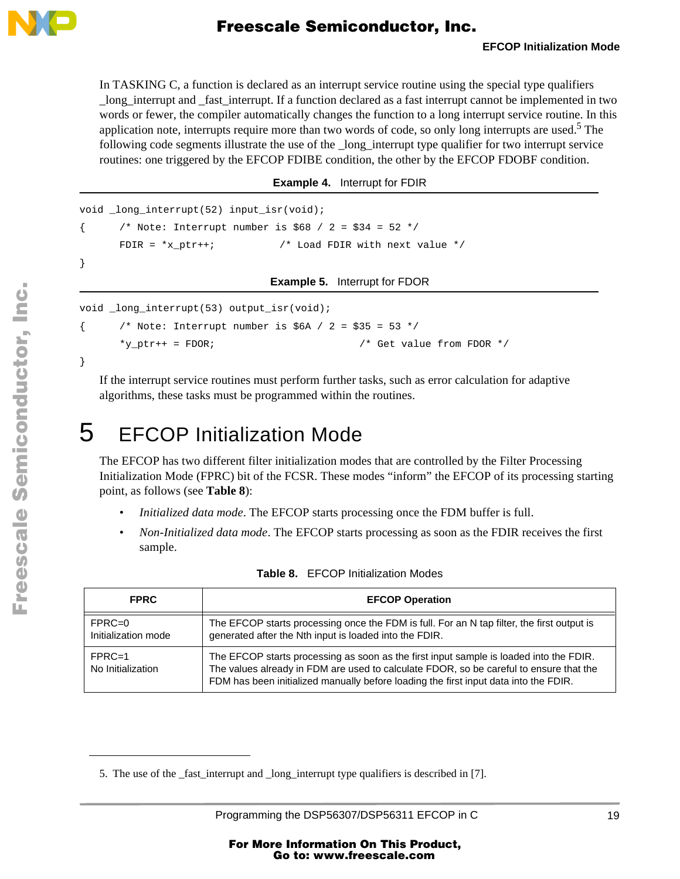<span id="page-18-0"></span>

In TASKING C, a function is declared as an interrupt service routine using the special type qualifiers \_long\_interrupt and \_fast\_interrupt. If a function declared as a fast interrupt cannot be implemented in two words or fewer, the compiler automatically changes the function to a long interrupt service routine. In this application note, interrupts require more than two words of code, so only long interrupts are used.<sup>5</sup> The following code segments illustrate the use of the \_long\_interrupt type qualifier for two interrupt service routines: one triggered by the EFCOP FDIBE condition, the other by the EFCOP FDOBF condition.

**Example 4.** Interrupt for FDIR

```
void long interrupt(52) input isr(void);
      /* Note: Interrupt number is $68 / 2 = $34 = 52 */
      FDIR = *x ptr++; *x /* Load FDIR with next value */x}
```
**Example 5.** Interrupt for FDOR

void \_long\_interrupt(53) output\_isr(void);

```
\{ /* Note: Interrupt number is $6A / 2 = $35 = 53 */
    *y-ptr++ = FDOR; *y-ptr++ = FDOR *y
```
If the interrupt service routines must perform further tasks, such as error calculation for adaptive algorithms, these tasks must be programmed within the routines.

# 5 EFCOP Initialization Mode

The EFCOP has two different filter initialization modes that are controlled by the Filter Processing Initialization Mode (FPRC) bit of the FCSR. These modes "inform" the EFCOP of its processing starting point, as follows (see **Table 8**):

- *Initialized data mode*. The EFCOP starts processing once the FDM buffer is full.
- *Non-Initialized data mode*. The EFCOP starts processing as soon as the FDIR receives the first sample.

| <b>FPRC</b>                     | <b>EFCOP Operation</b>                                                                                                                                                                                                                                                   |
|---------------------------------|--------------------------------------------------------------------------------------------------------------------------------------------------------------------------------------------------------------------------------------------------------------------------|
| $FPRC=0$<br>Initialization mode | The EFCOP starts processing once the FDM is full. For an N tap filter, the first output is<br>generated after the Nth input is loaded into the FDIR.                                                                                                                     |
| $FPRC=1$<br>No Initialization   | The EFCOP starts processing as soon as the first input sample is loaded into the FDIR.<br>The values already in FDM are used to calculate FDOR, so be careful to ensure that the<br>FDM has been initialized manually before loading the first input data into the FDIR. |

**Table 8.** EFCOP Initialization Modes

}

<sup>5.</sup> The use of the fast interrupt and long interrupt type qualifiers is described in [\[7\]](#page-28-0).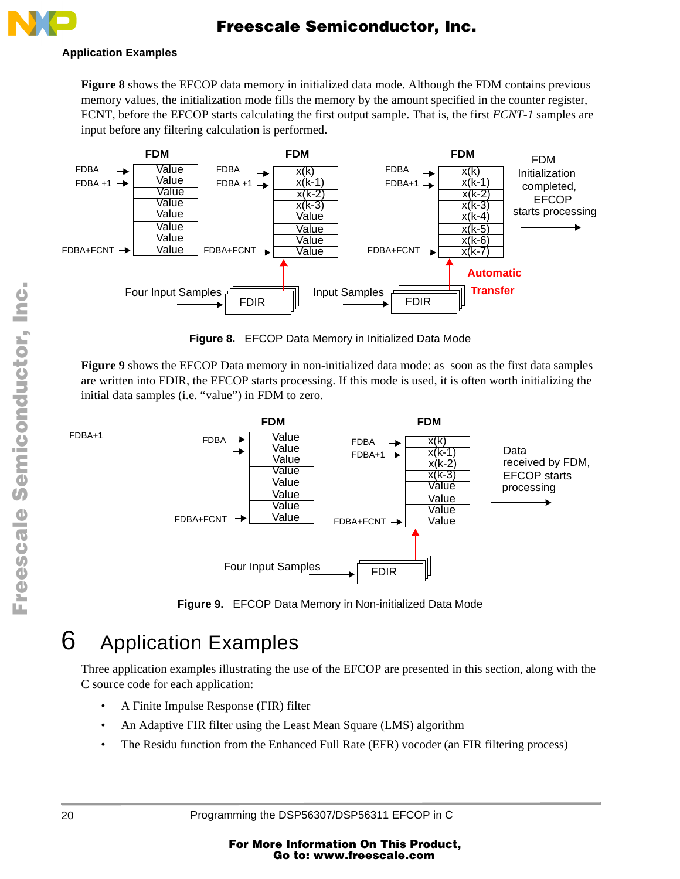

#### **Application Examples**

**Figure 8** shows the EFCOP data memory in initialized data mode. Although the FDM contains previous memory values, the initialization mode fills the memory by the amount specified in the counter register, FCNT, before the EFCOP starts calculating the first output sample. That is, the first *FCNT-1* samples are input before any filtering calculation is performed.



**Figure 8.** EFCOP Data Memory in Initialized Data Mode

**Figure 9** shows the EFCOP Data memory in non-initialized data mode: as soon as the first data samples are written into FDIR, the EFCOP starts processing. If this mode is used, it is often worth initializing the initial data samples (i.e. "value") in FDM to zero.

FDBA+1



**Figure 9.** EFCOP Data Memory in Non-initialized Data Mode

# 6 Application Examples

Three application examples illustrating the use of the EFCOP are presented in this section, along with the C source code for each application:

- A Finite Impulse Response (FIR) filter
- An Adaptive FIR filter using the Least Mean Square (LMS) algorithm
- The Residu function from the Enhanced Full Rate (EFR) vocoder (an FIR filtering process)

.<br>ق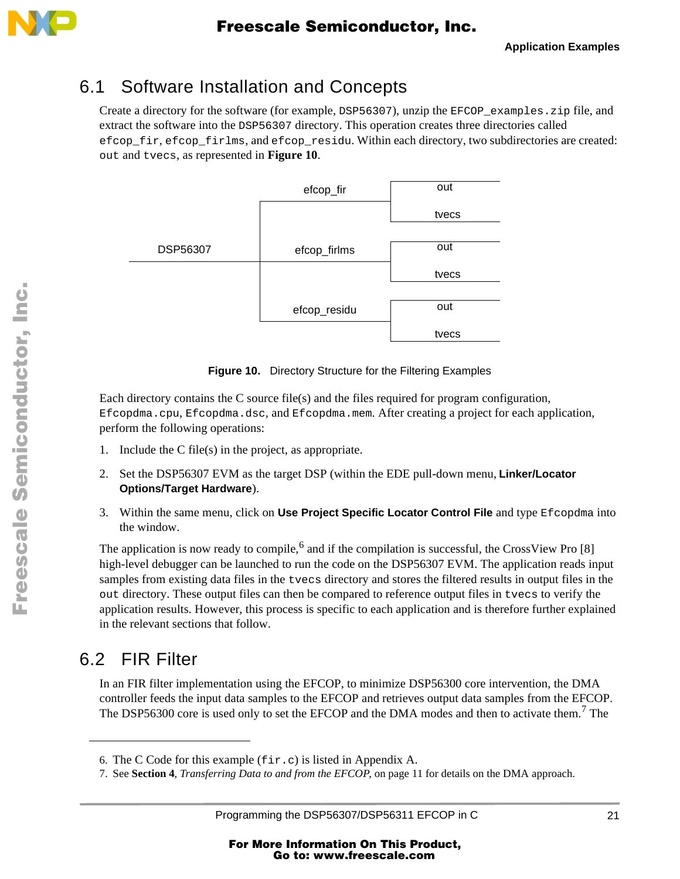<span id="page-20-0"></span>

### 6.1 Software Installation and Concepts

Create a directory for the software (for example, DSP56307), unzip the EFCOP\_examples.zip file, and extract the software into the DSP56307 directory. This operation creates three directories called efcop\_fir, efcop\_firlms, and efcop\_residu. Within each directory, two subdirectories are created: out and tvecs, as represented in **Figure 10**.



**Figure 10.** Directory Structure for the Filtering Examples

Each directory contains the C source file(s) and the files required for program configuration, Efcopdma.cpu, Efcopdma.dsc, and Efcopdma.mem. After creating a project for each application, perform the following operations:

- 1. Include the C file(s) in the project, as appropriate.
- 2. Set the DSP56307 EVM as the target DSP (within the EDE pull-down menu, **Linker/Locator Options/Target Hardware**).
- 3. Within the same menu, click on **Use Project Specific Locator Control File** and type Efcopdma into the window.

The application is now ready to compile,<sup>6</sup> and if the compilation is successful, the CrossView Pro [8] high-level debugger can be launched to run the code on the DSP56307 EVM. The application reads input samples from existing data files in the tvecs directory and stores the filtered results in output files in the out directory. These output files can then be compared to reference output files in tvecs to verify the application results. However, this process is specific to each application and is therefore further explained in the relevant sections that follow.

## 6.2 FIR Filter

In an FIR filter implementation using the EFCOP, to minimize DSP56300 core intervention, the DMA controller feeds the input data samples to the EFCOP and retrieves output data samples from the EFCOP. The DSP56300 core is used only to set the EFCOP and the DMA modes and then to activate them.<sup>7</sup> The

<sup>6.</sup> The C Code for this example (fir.c) is listed in [Appendix A](#page-29-0).

<sup>7.</sup> See **Section 4**, *[Transferring Data to and from the EFCOP](#page-10-0)*, on page 11 for details on the DMA approach.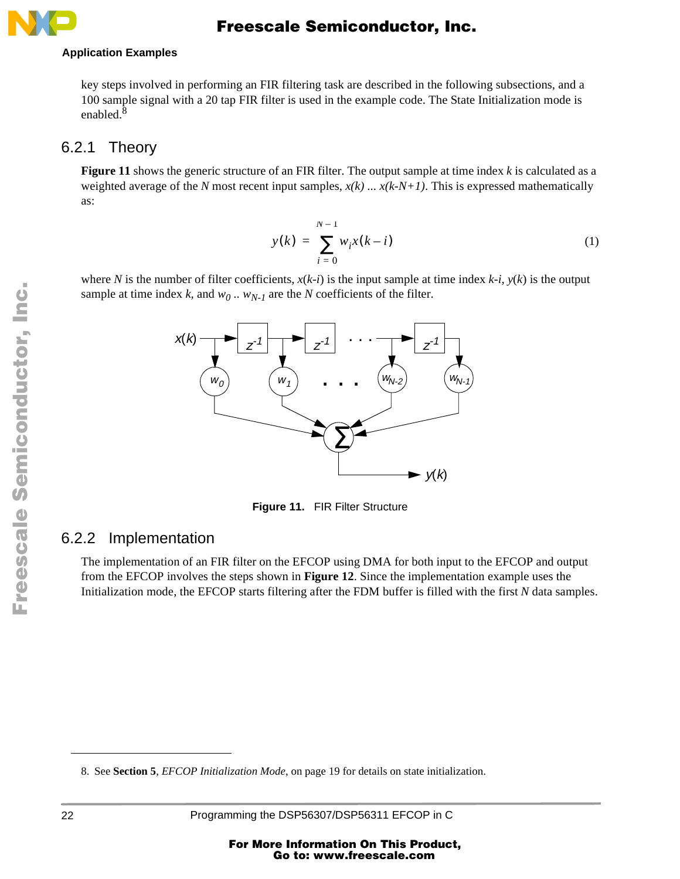#### <span id="page-21-0"></span>**Application Examples**

key steps involved in performing an FIR filtering task are described in the following subsections, and a 100 sample signal with a 20 tap FIR filter is used in the example code. The State Initialization mode is enabled. $8$ 

#### 6.2.1 Theory

**Figure 11** shows the generic structure of an FIR filter. The output sample at time index *k* is calculated as a weighted average of the *N* most recent input samples,  $x(k)$  ...  $x(k-N+1)$ . This is expressed mathematically as:

$$
y(k) = \sum_{i=0}^{N-1} w_i x(k-i)
$$
 (1)

where *N* is the number of filter coefficients,  $x(k-i)$  is the input sample at time index  $k-i$ ,  $y(k)$  is the output sample at time index *k*, and  $w_0$ ..  $w_{N-1}$  are the *N* coefficients of the filter.



**Figure 11.** FIR Filter Structure

#### 6.2.2 Implementation

The implementation of an FIR filter on the EFCOP using DMA for both input to the EFCOP and output from the EFCOP involves the steps shown in **[Figure 12](#page-22-0)**. Since the implementation example uses the Initialization mode, the EFCOP starts filtering after the FDM buffer is filled with the first *N* data samples.

<sup>8.</sup> See **Section 5**, *[EFCOP Initialization Mode](#page-18-0)*, on page 19 for details on state initialization.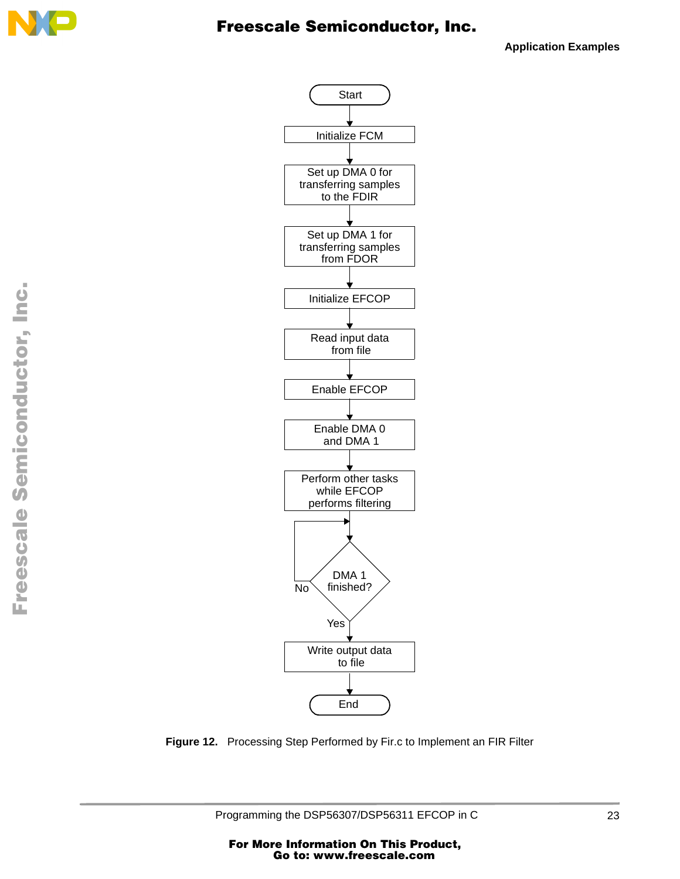<span id="page-22-0"></span>

**Application Examples**



**Figure 12.** Processing Step Performed by Fir.c to Implement an FIR Filter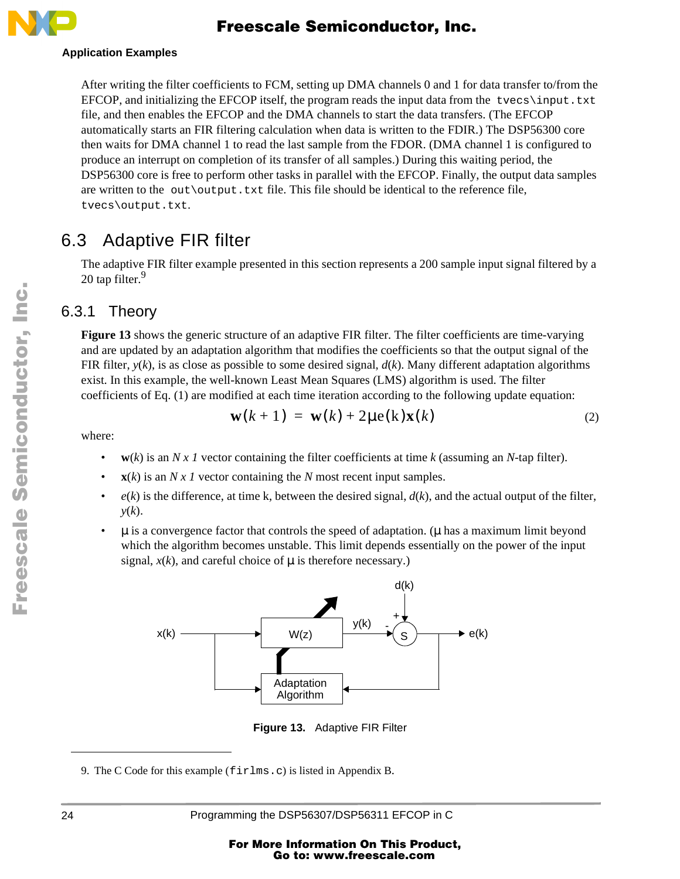<span id="page-23-0"></span>

#### **Application Examples**

After writing the filter coefficients to FCM, setting up DMA channels 0 and 1 for data transfer to/from the EFCOP, and initializing the EFCOP itself, the program reads the input data from the tvecs\input.txt file, and then enables the EFCOP and the DMA channels to start the data transfers. (The EFCOP automatically starts an FIR filtering calculation when data is written to the FDIR.) The DSP56300 core then waits for DMA channel 1 to read the last sample from the FDOR. (DMA channel 1 is configured to produce an interrupt on completion of its transfer of all samples.) During this waiting period, the DSP56300 core is free to perform other tasks in parallel with the EFCOP. Finally, the output data samples are written to the out\output.txt file. This file should be identical to the reference file, tvecs\output.txt.

#### 6.3 Adaptive FIR filter

The adaptive FIR filter example presented in this section represents a 200 sample input signal filtered by a 20 tap filter.<sup>9</sup>

#### 6.3.1 Theory

**Figure 13** shows the generic structure of an adaptive FIR filter. The filter coefficients are time-varying and are updated by an adaptation algorithm that modifies the coefficients so that the output signal of the FIR filter,  $y(k)$ , is as close as possible to some desired signal,  $d(k)$ . Many different adaptation algorithms exist. In this example, the well-known Least Mean Squares (LMS) algorithm is used. The filter coefficients of [Eq. \(1\)](#page-21-0) are modified at each time iteration according to the following update equation:

$$
\mathbf{w}(k+1) = \mathbf{w}(k) + 2\mu \mathbf{e}(k)\mathbf{x}(k) \tag{2}
$$

where:

- $w(k)$  is an *N x 1* vector containing the filter coefficients at time *k* (assuming an *N*-tap filter).
- $\mathbf{x}(k)$  is an *N x 1* vector containing the *N* most recent input samples.
- $e(k)$  is the difference, at time k, between the desired signal,  $d(k)$ , and the actual output of the filter, *y*(*k*).
- $\bullet$   $\mu$  is a convergence factor that controls the speed of adaptation. ( $\mu$  has a maximum limit beyond which the algorithm becomes unstable. This limit depends essentially on the power of the input signal,  $x(k)$ , and careful choice of  $\mu$  is therefore necessary.)



**Figure 13.** Adaptive FIR Filter

9. The C Code for this example (firlms.c) is listed in [Appendix B](#page-36-0).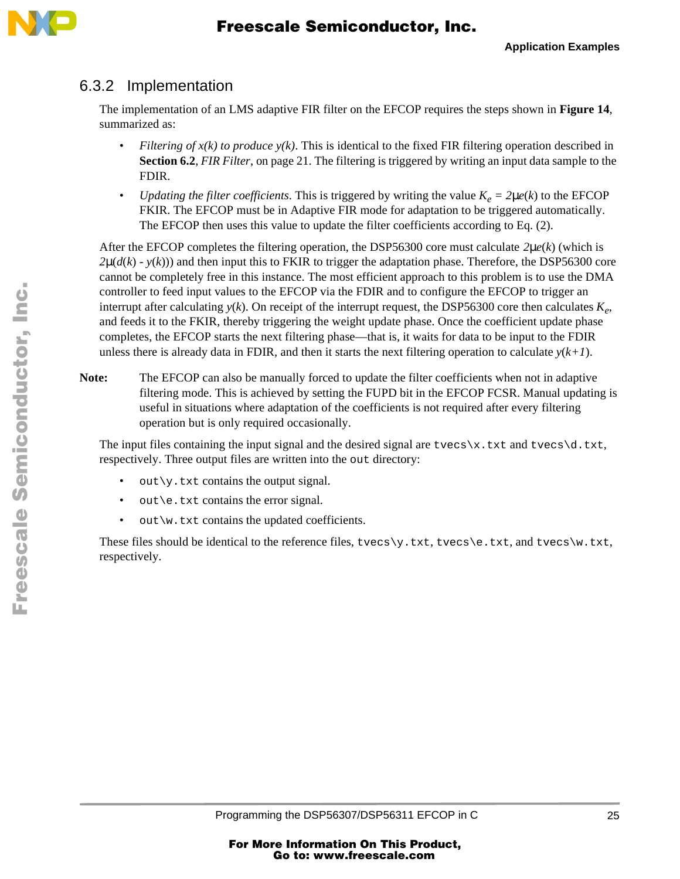



#### 6.3.2 Implementation

The implementation of an LMS adaptive FIR filter on the EFCOP requires the steps shown in **[Figure 14](#page-25-0)**, summarized as:

- *Filtering of*  $x(k)$  *to produce*  $y(k)$ *.* This is identical to the fixed FIR filtering operation described in **Section 6.2**, *FIR Filter*[, on page 21.](#page-20-0) The filtering is triggered by writing an input data sample to the FDIR.
- *Updating the filter coefficients*. This is triggered by writing the value  $K_e = 2\mu e(k)$  to the EFCOP FKIR. The EFCOP must be in Adaptive FIR mode for adaptation to be triggered automatically. The EFCOP then uses this value to update the filter coefficients according to [Eq. \(2\)](#page-23-0).

After the EFCOP completes the filtering operation, the DSP56300 core must calculate *2*µ*e*(*k*) (which is  $2\mu(d(k) - y(k))$  and then input this to FKIR to trigger the adaptation phase. Therefore, the DSP56300 core cannot be completely free in this instance. The most efficient approach to this problem is to use the DMA controller to feed input values to the EFCOP via the FDIR and to configure the EFCOP to trigger an interrupt after calculating  $y(k)$ . On receipt of the interrupt request, the DSP56300 core then calculates  $K_e$ , and feeds it to the FKIR, thereby triggering the weight update phase. Once the coefficient update phase completes, the EFCOP starts the next filtering phase—that is, it waits for data to be input to the FDIR unless there is already data in FDIR, and then it starts the next filtering operation to calculate  $y(k+1)$ .

Note: The EFCOP can also be manually forced to update the filter coefficients when not in adaptive filtering mode. This is achieved by setting the FUPD bit in the EFCOP FCSR. Manual updating is useful in situations where adaptation of the coefficients is not required after every filtering operation but is only required occasionally.

The input files containing the input signal and the desired signal are  $t\nvecs\x$ .txt and  $t\nvecs\ddot{o}.txt$ , respectively. Three output files are written into the out directory:

- $out\$  . txt contains the output signal.
- out \e.txt contains the error signal.
- out \w.txt contains the updated coefficients.

These files should be identical to the reference files, tvecs  $\vee$ , txt, tvecs  $\vee$  e.txt, and tvecs  $\vee$  .txt, respectively.

n

.<br>ق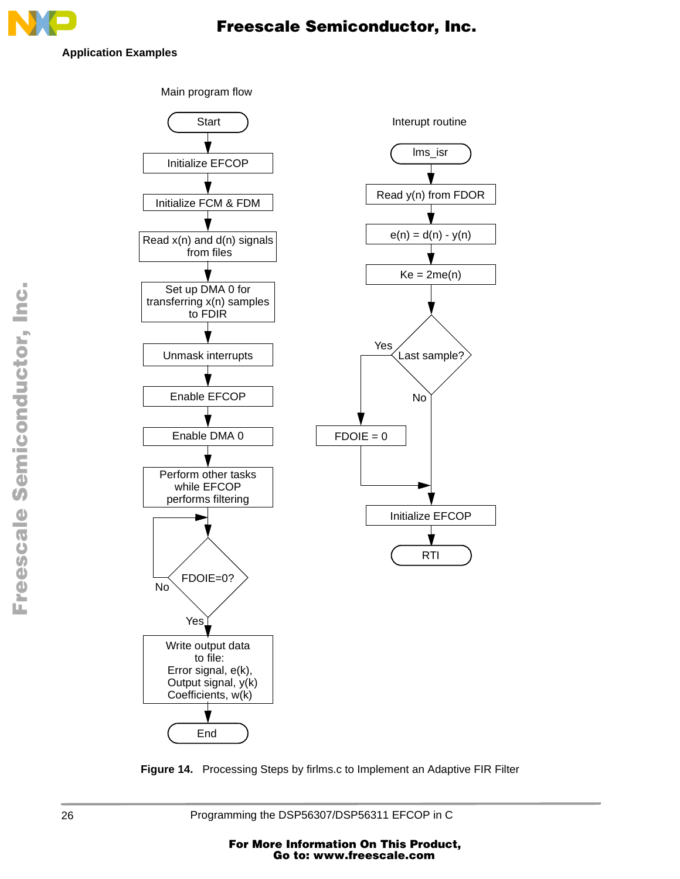<span id="page-25-0"></span>

**Application Examples**



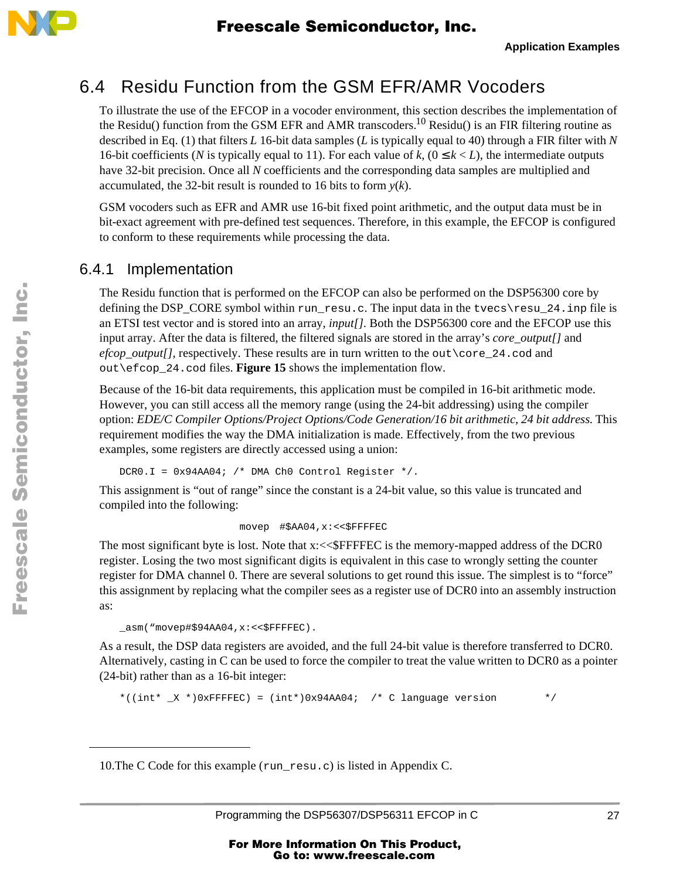

### 6.4 Residu Function from the GSM EFR/AMR Vocoders

To illustrate the use of the EFCOP in a vocoder environment, this section describes the implementation of the Residu() function from the GSM EFR and AMR transcoders.10 Residu() is an FIR filtering routine as described in [Eq. \(1\)](#page-21-0) that filters *L* 16-bit data samples (*L* is typically equal to 40) through a FIR filter with *N* 16-bit coefficients (*N* is typically equal to 11). For each value of *k*,  $(0 \le k \le L)$ , the intermediate outputs have 32-bit precision. Once all *N* coefficients and the corresponding data samples are multiplied and accumulated, the 32-bit result is rounded to 16 bits to form  $y(k)$ .

GSM vocoders such as EFR and AMR use 16-bit fixed point arithmetic, and the output data must be in bit-exact agreement with pre-defined test sequences. Therefore, in this example, the EFCOP is configured to conform to these requirements while processing the data.

#### 6.4.1 Implementation

The Residu function that is performed on the EFCOP can also be performed on the DSP56300 core by defining the DSP\_CORE symbol within run\_resu.c. The input data in the tvecs\resu\_24.inp file is an ETSI test vector and is stored into an array, *input[]*. Both the DSP56300 core and the EFCOP use this input array. After the data is filtered, the filtered signals are stored in the array's *core\_output[]* and *efcop\_output[]*, respectively. These results are in turn written to the out\core\_24.cod and out\efcop\_24.cod files. **[Figure 15](#page-27-0)** shows the implementation flow.

Because of the 16-bit data requirements, this application must be compiled in 16-bit arithmetic mode. However, you can still access all the memory range (using the 24-bit addressing) using the compiler option: *EDE/C Compiler Options/Project Options/Code Generation/16 bit arithmetic, 24 bit address*. This requirement modifies the way the DMA initialization is made. Effectively, from the two previous examples, some registers are directly accessed using a union:

DCR0.I =  $0x94AA04$ ; /\* DMA Ch0 Control Register \*/.

This assignment is "out of range" since the constant is a 24-bit value, so this value is truncated and compiled into the following:

movep #\$AA04,x:<<\$FFFFEC

The most significant byte is lost. Note that x:<<\$FFFFEC is the memory-mapped address of the DCR0 register. Losing the two most significant digits is equivalent in this case to wrongly setting the counter register for DMA channel 0. There are several solutions to get round this issue. The simplest is to "force" this assignment by replacing what the compiler sees as a register use of DCR0 into an assembly instruction as:

```
_asm("movep#$94AA04,x:<<$FFFFEC).
```
As a result, the DSP data registers are avoided, and the full 24-bit value is therefore transferred to DCR0. Alternatively, casting in C can be used to force the compiler to treat the value written to DCR0 as a pointer (24-bit) rather than as a 16-bit integer:

\*((int\*  $_X$  \*)0xFFFFEC) = (int\*)0x94AA04; /\* C language version \*/

10.The C Code for this example (run\_resu.c) is listed i[n Appendix C](#page-44-0).

.<br>ق

F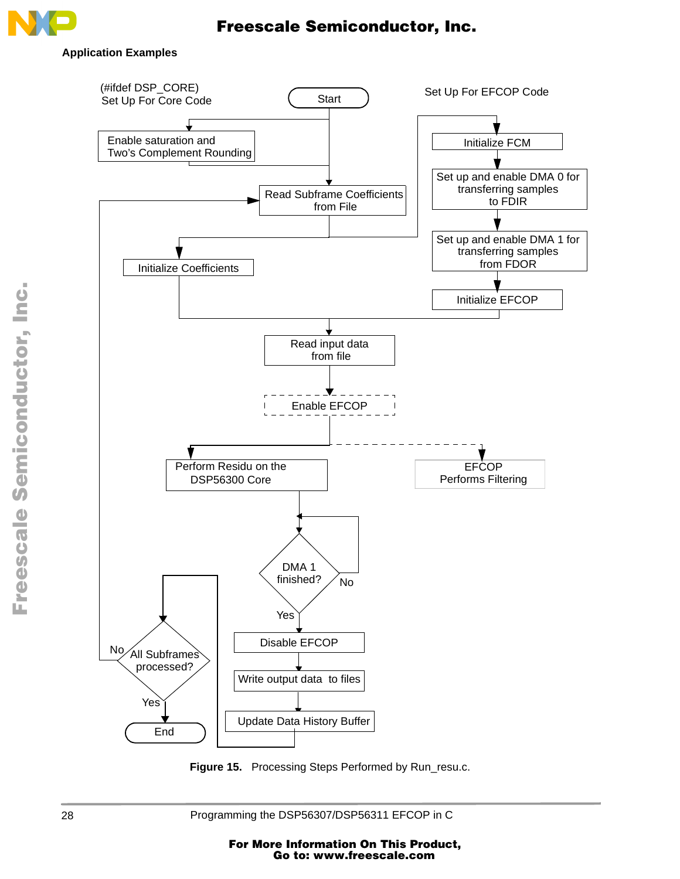<span id="page-27-0"></span>

#### **Application Examples**



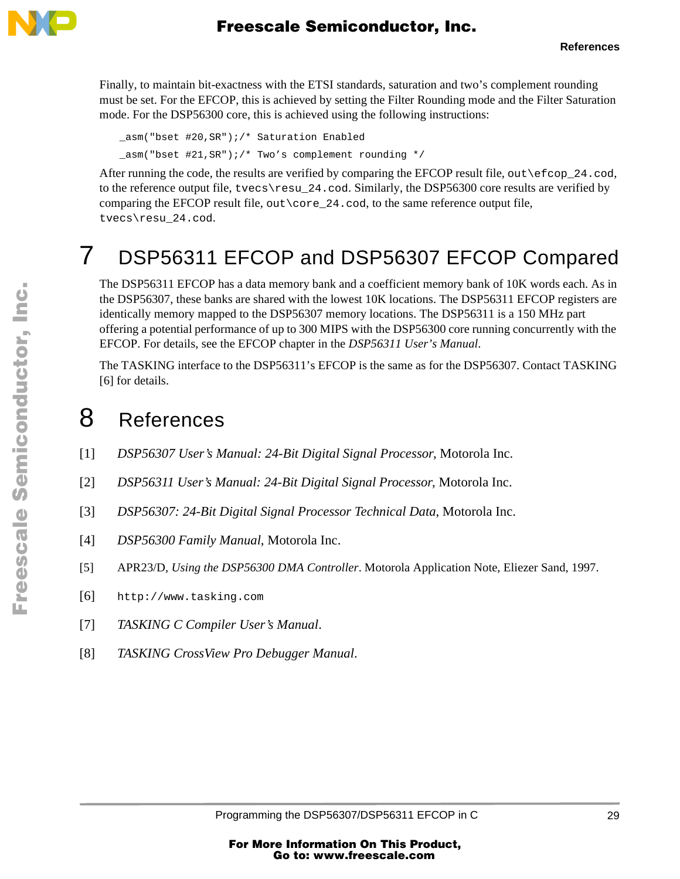<span id="page-28-0"></span>

Finally, to maintain bit-exactness with the ETSI standards, saturation and two's complement rounding must be set. For the EFCOP, this is achieved by setting the Filter Rounding mode and the Filter Saturation mode. For the DSP56300 core, this is achieved using the following instructions:

\_asm("bset #20,SR");/\* Saturation Enabled \_asm("bset #21,SR");/\* Two's complement rounding \*/

After running the code, the results are verified by comparing the EFCOP result file, out \effere 24.cod, to the reference output file,  $t$  vecs \resu $24$ .cod. Similarly, the DSP56300 core results are verified by comparing the EFCOP result file, out \core  $24$ .cod, to the same reference output file, tvecs\resu\_24.cod.

# 7 DSP56311 EFCOP and DSP56307 EFCOP Compared

The DSP56311 EFCOP has a data memory bank and a coefficient memory bank of 10K words each. As in the DSP56307, these banks are shared with the lowest 10K locations. The DSP56311 EFCOP registers are identically memory mapped to the DSP56307 memory locations. The DSP56311 is a 150 MHz part offering a potential performance of up to 300 MIPS with the DSP56300 core running concurrently with the EFCOP. For details, see the EFCOP chapter in the *DSP56311 User's Manual*.

The TASKING interface to the DSP56311's EFCOP is the same as for the DSP56307. Contact TASKING [6] for details.

# 8 References

- [1] *DSP56307 User's Manual: 24-Bit Digital Signal Processor*, Motorola Inc.
- [2] *DSP56311 User's Manual: 24-Bit Digital Signal Processor*, Motorola Inc.
- [3] *DSP56307: 24-Bit Digital Signal Processor Technical Data*, Motorola Inc.
- [4] *DSP56300 Family Manual*, Motorola Inc.
- [5] APR23/D, *Using the DSP56300 DMA Controller*. Motorola Application Note, Eliezer Sand, 1997.
- [6] http://www.tasking.com
- [7] *TASKING C Compiler User's Manual*.
- [8] *TASKING CrossView Pro Debugger Manual*.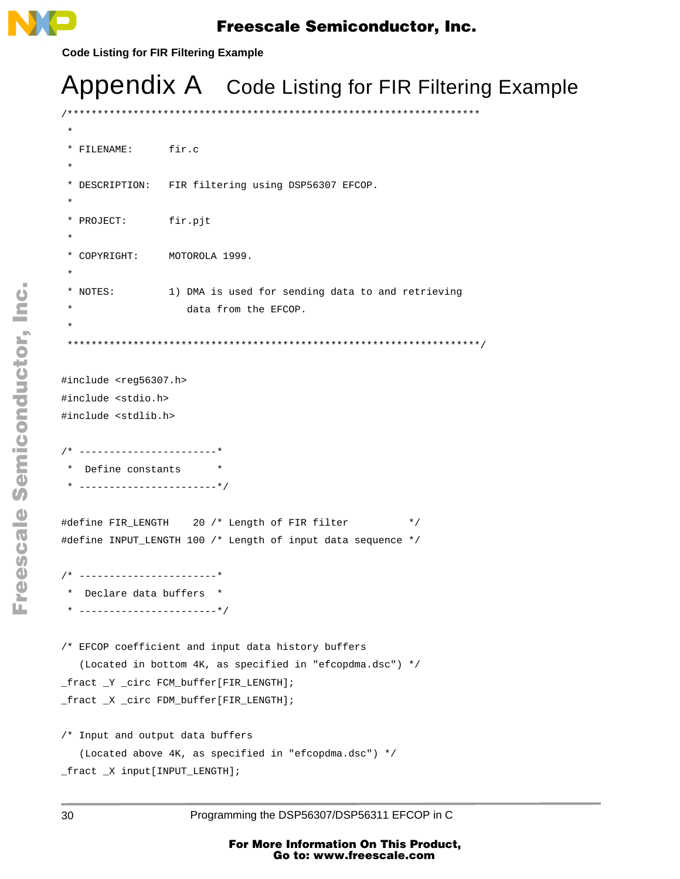<span id="page-29-0"></span>

**Code Listing for FIR Filtering Example**

# Appendix A Code Listing for FIR Filtering Example

/\*\*\*\*\*\*\*\*\*\*\*\*\*\*\*\*\*\*\*\*\*\*\*\*\*\*\*\*\*\*\*\*\*\*\*\*\*\*\*\*\*\*\*\*\*\*\*\*\*\*\*\*\*\*\*\*\*\*\*\*\*\*\*\*\*\*\*\*\*

```
 *
  * FILENAME: fir.c
 *
  * DESCRIPTION: FIR filtering using DSP56307 EFCOP.
 *
  * PROJECT: fir.pjt
 * 
  * COPYRIGHT: MOTOROLA 1999.
 *
  * NOTES: 1) DMA is used for sending data to and retrieving
                    data from the EFCOP.
 *
  *********************************************************************/
#include <reg56307.h>
#include <stdio.h>
#include <stdlib.h>
/* -----------------------*
  * Define constants *
  * -----------------------*/
#define FIR_LENGTH 20 /* Length of FIR filter */
#define INPUT_LENGTH 100 /* Length of input data sequence */
/* -----------------------*
 * Declare data buffers *
 * -----------------------*/
/* EFCOP coefficient and input data history buffers
    (Located in bottom 4K, as specified in "efcopdma.dsc") */
_fract _Y _circ FCM_buffer[FIR_LENGTH];
_fract _X _circ FDM_buffer[FIR_LENGTH];
/* Input and output data buffers
    (Located above 4K, as specified in "efcopdma.dsc") */
_fract _X input[INPUT_LENGTH];
```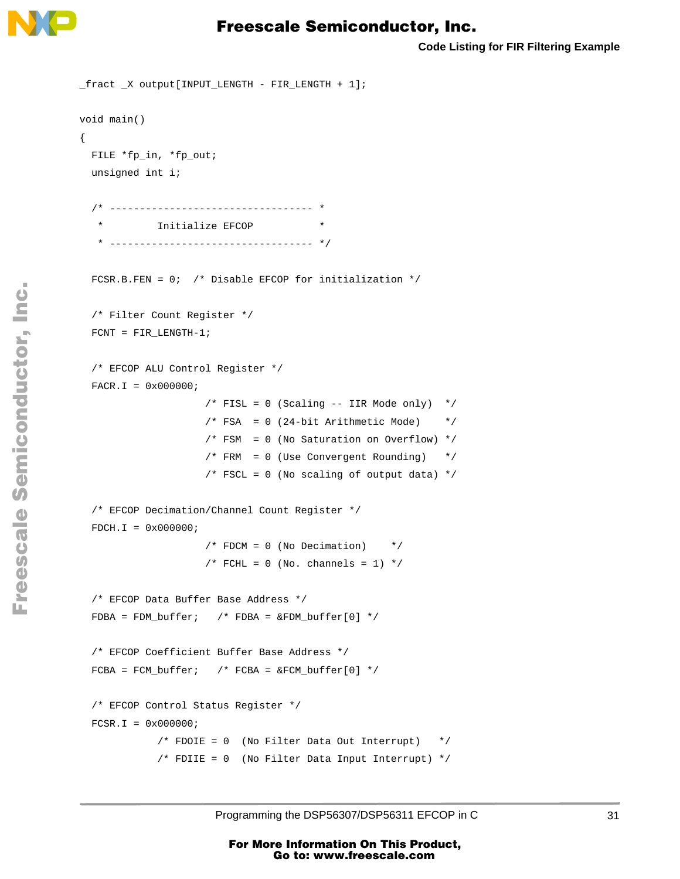

**Code Listing for FIR Filtering Example**

```
_fract _X output[INPUT_LENGTH - FIR_LENGTH + 1];
void main()
{
  FILE *fp_in, *fp_out;
  unsigned int i;
   /* ---------------------------------- *
            Initialize EFCOP * * ---------------------------------- */
 FCSR.B.FEN = 0; /* Disable EFCOP for initialization */
  /* Filter Count Register */
  FCNT = FIR_LENGTH-1; 
  /* EFCOP ALU Control Register */
 FACT. I = 0x000000i/* FISL = 0 (Scaling -- IIR Mode only) */
                     /* FSA = 0 (24-bit Arithmetic Mode) */ /* FSM = 0 (No Saturation on Overflow) */
                      /* FRM = 0 (Use Convergent Rounding) */
                     /* FSCL = 0 (No scaling of output data) */
   /* EFCOP Decimation/Channel Count Register */
 FDCH.I = 0x000000i /* FDCM = 0 (No Decimation) */
                     /* FCHL = 0 (No. channels = 1) */
  /* EFCOP Data Buffer Base Address */
 FDBA = FDM_buffer; /* FDBA = \& FDM_buffer[0] */
   /* EFCOP Coefficient Buffer Base Address */
 FCBA = FCM_buffer; /* FCBA = \& FCM_buffer[0] */
   /* EFCOP Control Status Register */
 FCSR.I = 0x000000i /* FDOIE = 0 (No Filter Data Out Interrupt) */
            /* FDIIE = 0 (No Filter Data Input Interrupt) */
```
mic

o n d u  $\mathbf 0$ t o

r, I

n

.<br>ق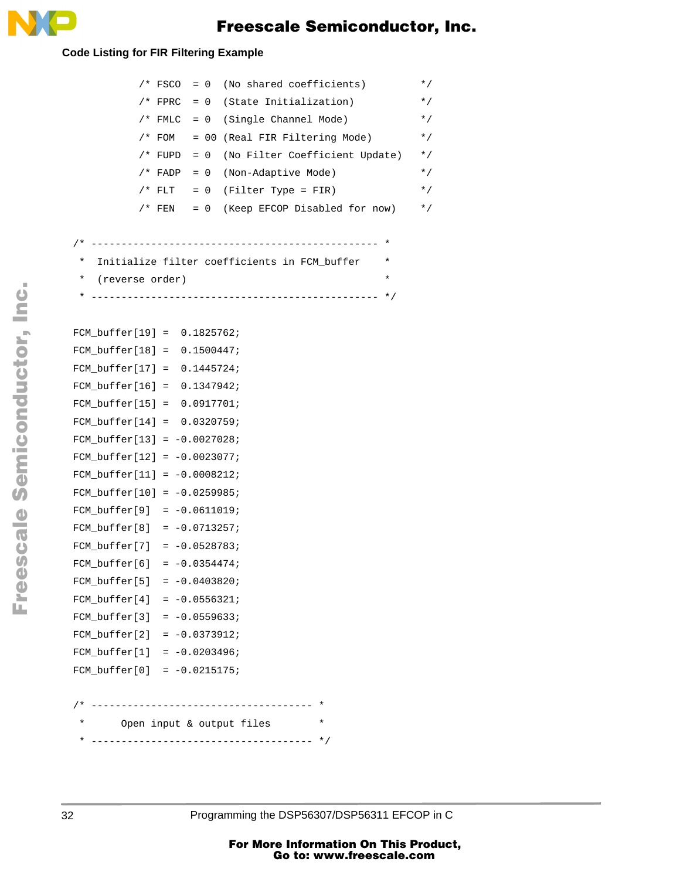

#### **Code Listing for FIR Filtering Example**

|                                                                                                                                                                      |                 | $/* FSCO = 0 (No shared coefficients)$                   |
|----------------------------------------------------------------------------------------------------------------------------------------------------------------------|-----------------|----------------------------------------------------------|
|                                                                                                                                                                      |                 | $/* FPRC = 0$ (State Initialization)                     |
|                                                                                                                                                                      |                 | $/* FMLC = 0 (Single Channel Mode)$                      |
|                                                                                                                                                                      |                 | /* FOM = 00 (Real FIR Filtering Mode)                    |
|                                                                                                                                                                      |                 | /* FUPD = 0 (No Filter Coefficient Update)               |
|                                                                                                                                                                      |                 | /* FADP = 0 (Non-Adaptive Mode)                          |
|                                                                                                                                                                      |                 | /* FLT = $0$ (Filter Type = FIR)                         |
|                                                                                                                                                                      |                 | $/*$ FEN = 0 (Keep EFCOP Disabled for now)               |
|                                                                                                                                                                      |                 |                                                          |
|                                                                                                                                                                      |                 |                                                          |
| $^\star$                                                                                                                                                             |                 | Initialize filter coefficients in FCM_buffer<br>$^\star$ |
| *                                                                                                                                                                    | (reverse order) | $^\star$                                                 |
| *                                                                                                                                                                    |                 |                                                          |
|                                                                                                                                                                      |                 |                                                          |
| FCM buffer $[19] = 0.1825762$ ;                                                                                                                                      |                 |                                                          |
| FCM $buffer[18] = 0.1500447;$                                                                                                                                        |                 |                                                          |
| FCM $buffer[17] = 0.1445724;$                                                                                                                                        |                 |                                                          |
| FCM buffer $[16] = 0.1347942$ ;                                                                                                                                      |                 |                                                          |
| FCM $buffer[15] = 0.0917701;$                                                                                                                                        |                 |                                                          |
| FCM buffer $[14] = 0.0320759$ ;                                                                                                                                      |                 |                                                          |
| FCM buffer[13] = $-0.0027028$ ;                                                                                                                                      |                 |                                                          |
| FCM buffer $[12] = -0.0023077$ ;                                                                                                                                     |                 |                                                          |
| FCM $buffer[11] = -0.0008212$ ;                                                                                                                                      |                 |                                                          |
| FCM $buffer[10] = -0.0259985;$                                                                                                                                       |                 |                                                          |
| $FCM_buffer[9] = -0.0611019;$                                                                                                                                        |                 |                                                          |
| FCM $buffer[8] = -0.0713257;$                                                                                                                                        |                 |                                                          |
| FCM buffer[7] = $-0.0528783$ ;                                                                                                                                       |                 |                                                          |
| $FCM_buffer[6] = -0.0354474;$                                                                                                                                        |                 |                                                          |
|                                                                                                                                                                      |                 |                                                          |
|                                                                                                                                                                      |                 |                                                          |
|                                                                                                                                                                      |                 |                                                          |
|                                                                                                                                                                      |                 |                                                          |
|                                                                                                                                                                      |                 |                                                          |
| FCM_buffer[5] = $-0.0403820$ ;<br>FCM buffer[4] = $-0.0556321$ ;<br>FCM buffer[3] = $-0.0559633$ ;<br>$FCM_buffer[2] = -0.0373912;$<br>$FCM_buffer[1] = -0.0203496;$ |                 |                                                          |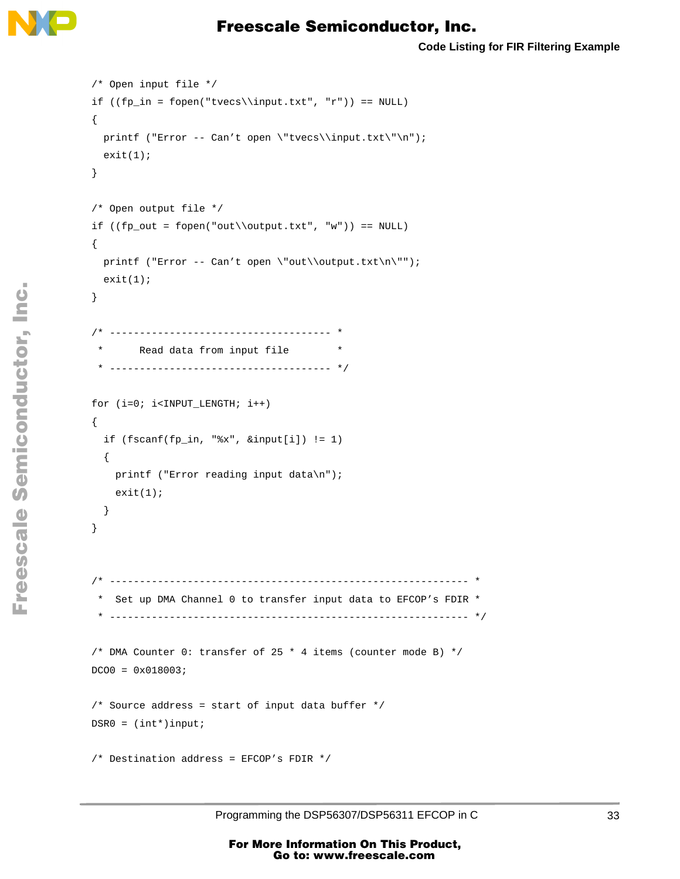

```
 /* Open input file */
if ((fp_in = fopen("tvecs\in.txt", "r")) == NULL) {
  printf ("Error -- Can't open \"tvecs\\input.txt\"\n");
  exit(1); }
 /* Open output file */
if ((fp\_out = fopen("out\out)\out.txt", "w")) == NULL) {
  printf ("Error -- Can't open \"out\\output.txt\n\"");
  exit(1); }
 /* ------------------------------------- *
       Read data from input file * * ------------------------------------- */
 for (i=0; i<INPUT_LENGTH; i++) 
 {
   if (fscanf(fp_in, "%x", &input[i]) != 1)
   {
     printf ("Error reading input data\n");
    exit(1); }
 }
 /* ------------------------------------------------------------ *
  * Set up DMA Channel 0 to transfer input data to EFCOP's FDIR *
  * ------------------------------------------------------------ */
 /* DMA Counter 0: transfer of 25 * 4 items (counter mode B) */
DCOO = 0 \times 018003; /* Source address = start of input data buffer */
DSR0 = (int*)input; /* Destination address = EFCOP's FDIR */
```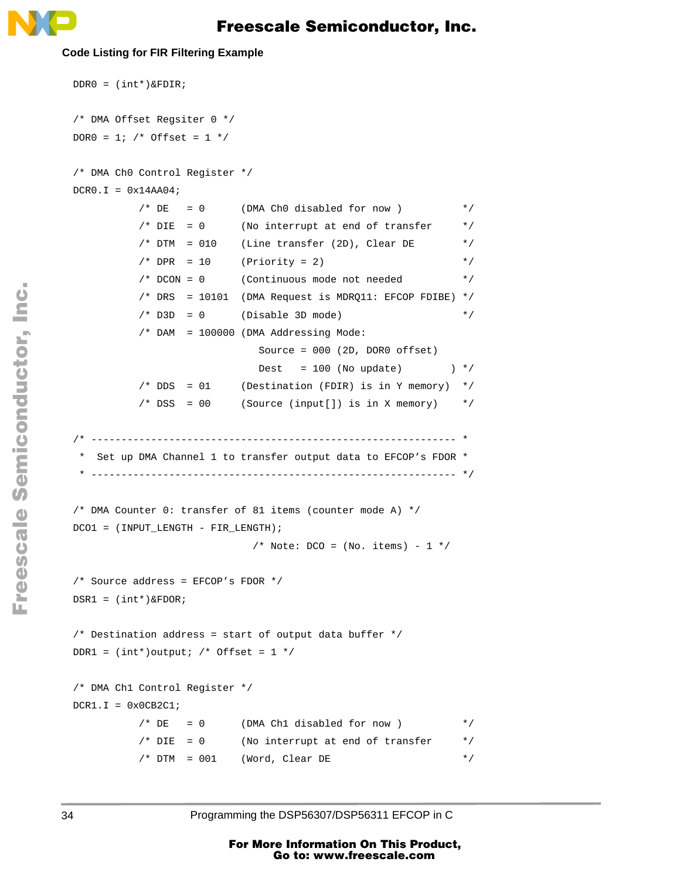

#### **Code Listing for FIR Filtering Example**

```
 DDR0 = (int*)&FDIR;
 /* DMA Offset Regsiter 0 */
DOR0 = 1; /* Offset = 1 */
 /* DMA Ch0 Control Register */
DCRO.I = 0x14AAO4;/* DE = 0 (DMA Ch0 disabled for now ) */* DIE = 0 (No interrupt at end of transfer */
         /* DTM = 010 (Line transfer (2D), Clear DE */
         /* DPR = 10 (Priority = 2) */
          /* DCON = 0 (Continuous mode not needed */
         /* DRS = 10101 (DMA Request is MDRQ11: EFCOP FDIBE) */
         /* D3D = 0 (Disable 3D mode) */
          /* DAM = 100000 (DMA Addressing Mode:
                            Source = 000 (2D, DOR0 offset)
                           Dest = 100 (No update) *//* DDS = 01 (Destination (FDIR) is in Y memory) *//* DSS = 00 (Source (input[]) is in X memory) */ /* ------------------------------------------------------------- *
  Set up DMA Channel 1 to transfer output data to EFCOP's FDOR * * ------------------------------------------------------------- */
 /* DMA Counter 0: transfer of 81 items (counter mode A) */
DCO1 = (INPUT LENGTH - FIR LENGTH);/* Note: DCO = (No. items) - 1 */
 /* Source address = EFCOP's FDOR */
 DSR1 = (int*)&FDOR;
 /* Destination address = start of output data buffer */
DDR1 = (int*)output; /* Offset = 1 */
 /* DMA Ch1 Control Register */
DCR1.I = 0x0CB2C1;/* DE = 0 (DMA Ch1 disabled for now ) *//* DIE = 0 (No interrupt at end of transfer */* DTM = 001 (Word, Clear DE */
```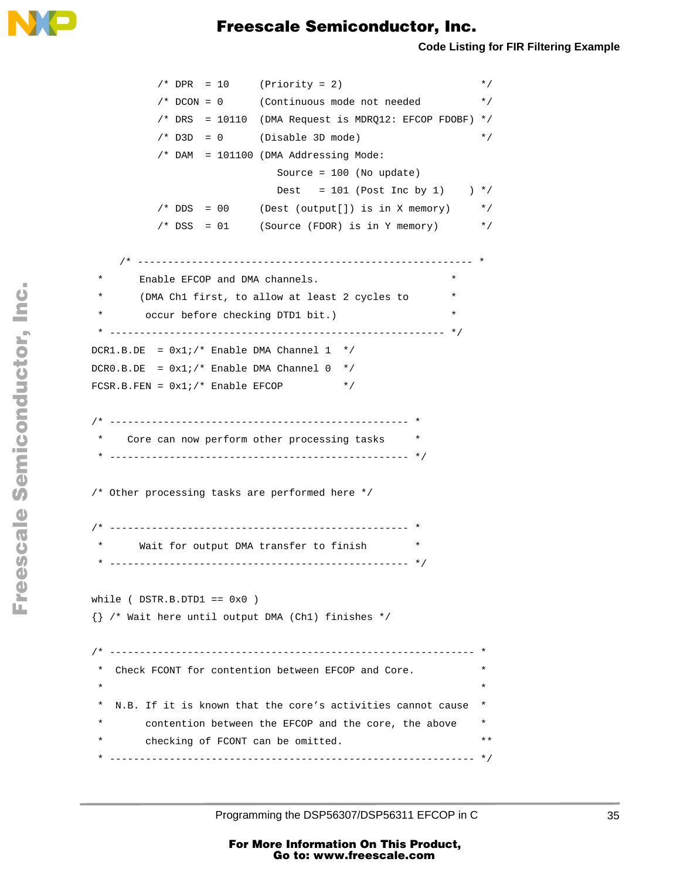

```
/* DPR = 10 (Priority = 2) */
            /* DCON = 0 (Continuous mode not needed */
           /* DRS = 10110 (DMA Request is MDRQ12: EFCOP FDOBF) */
           /* D3D = 0 (Disable 3D mode) */
            /* DAM = 101100 (DMA Addressing Mode:
                             Source = 100 (No update)
                            Dest = 101 (Post Inc by 1) *//* DDS = 00 (Dest (output[]) is in X memory) */* DSS = 01 (Source (FDOR) is in Y memory) */* -------------------------------------------------------- *
       Enable EFCOP and DMA channels.
       (DMA Ch1 first, to allow at least 2 cycles to
        occur before checking DTD1 bit.)
   * -------------------------------------------------------- */
 DCR1.B.DE = 0x1i/* Enable DMA Channel 1 */
 DCR0.B.DE = 0x1i/* Enable DMA Channel 0 */FCSR.B.FEN = 0x1i/* Enable EFCOP */
  /* -------------------------------------------------- *
    Core can now perform other processing tasks
   * -------------------------------------------------- */
  /* Other processing tasks are performed here */
  /* -------------------------------------------------- *
      Wait for output DMA transfer to finish
   * -------------------------------------------------- */
 while ( DSTR.B.DTDI == 0x0 )
  {} /* Wait here until output DMA (Ch1) finishes */ 
  /* ------------------------------------------------------------- *
    Check FCONT for contention between EFCOP and Core.
\star \star * N.B. If it is known that the core's activities cannot cause *
   * contention between the EFCOP and the core, the above *
  * checking of FCONT can be omitted. ** **
   * ------------------------------------------------------------- */
```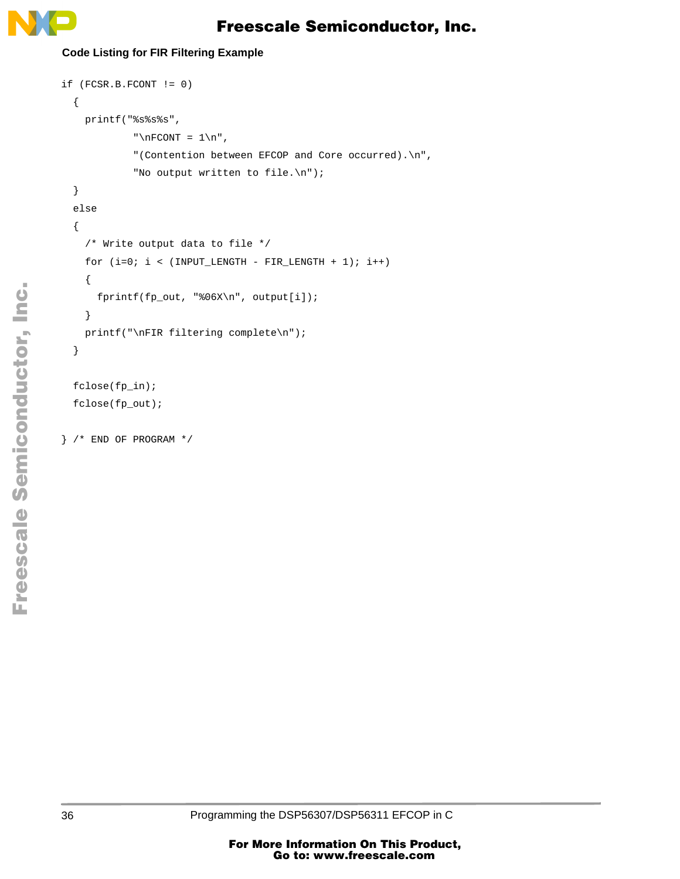

#### **Code Listing for FIR Filtering Example**

```
if (FCSR.B.FCONT != 0)
   {
     printf("%s%s%s",
             "\nFCONT = 1\n",
              "(Contention between EFCOP and Core occurred).\n",
              "No output written to file.\n");
   }
   else
   {
     /* Write output data to file */
    for (i=0; i < (INPUT\_LENGTH - FIR\_LENGTH + 1); i++) {
       fprintf(fp_out, "%06X\n", output[i]);
     }
     printf("\nFIR filtering complete\n");
  }
  fclose(fp_in);
  fclose(fp_out);
```
} /\* END OF PROGRAM \*/

.<br>ق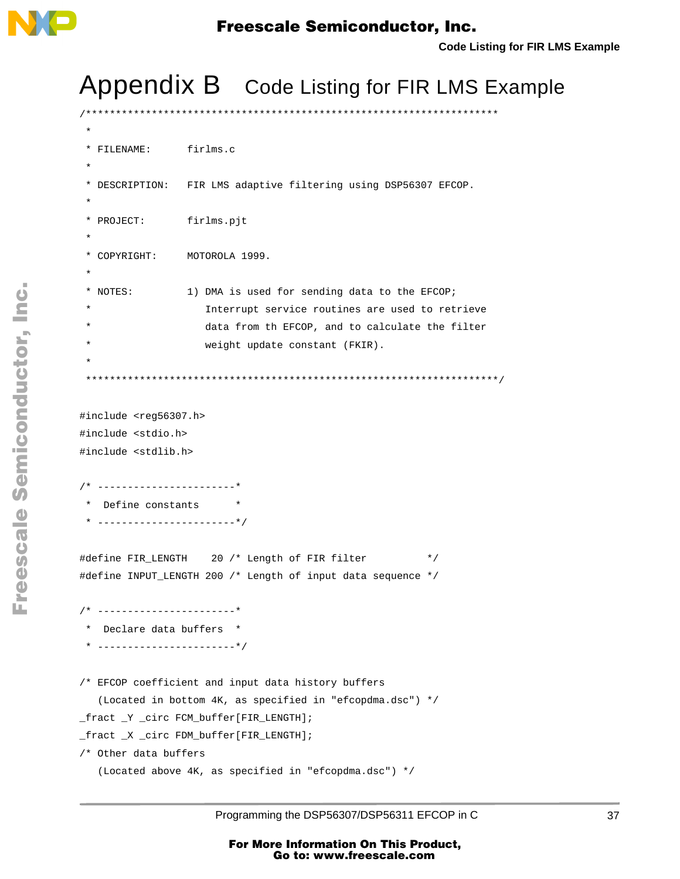<span id="page-36-0"></span>

/\*\*\*\*\*\*\*\*\*\*\*\*\*\*\*\*\*\*\*\*\*\*\*\*\*\*\*\*\*\*\*\*\*\*\*\*\*\*\*\*\*\*\*\*\*\*\*\*\*\*\*\*\*\*\*\*\*\*\*\*\*\*\*\*\*\*\*\*\*

# Appendix B Code Listing for FIR LMS Example

```
 *
  * FILENAME: firlms.c
 *
  * DESCRIPTION: FIR LMS adaptive filtering using DSP56307 EFCOP.
 *
  * PROJECT: firlms.pjt
 * 
  * COPYRIGHT: MOTOROLA 1999.
 *
  * NOTES: 1) DMA is used for sending data to the EFCOP;
                    Interrupt service routines are used to retrieve
                    data from th EFCOP, and to calculate the filter
                    weight update constant (FKIR).
 *
    *********************************************************************/
#include <reg56307.h>
#include <stdio.h>
#include <stdlib.h>
/* -----------------------*
  * Define constants *
 * -----------------------*/
#define FIR_LENGTH 20 /* Length of FIR filter */
#define INPUT_LENGTH 200 /* Length of input data sequence */
/* -----------------------*
  * Declare data buffers *
  * -----------------------*/
/* EFCOP coefficient and input data history buffers
    (Located in bottom 4K, as specified in "efcopdma.dsc") */
_fract _Y _circ FCM_buffer[FIR_LENGTH];
_fract _X _circ FDM_buffer[FIR_LENGTH];
/* Other data buffers
    (Located above 4K, as specified in "efcopdma.dsc") */
```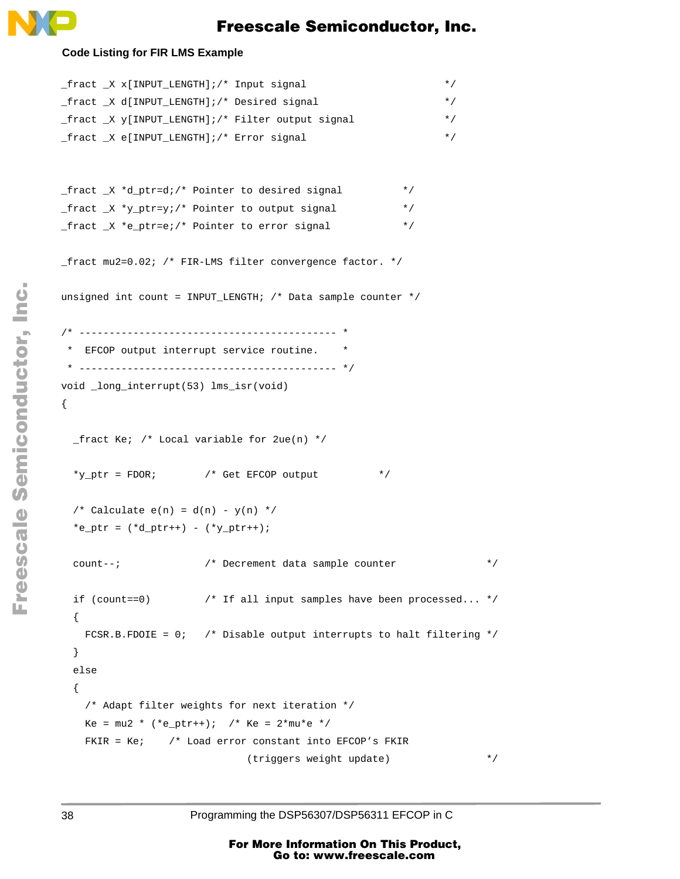

#### **Code Listing for FIR LMS Example**

```
_fract _X x[INPUT_LENGTH];/* Input signal */
_fract _X d[INPUT_LENGTH];/* Desired signal */
_fract _X y[INPUT_LENGTH];/* Filter output signal */
_fract _X e[INPUT_LENGTH];/* Error signal */
fraction{r} X *d ptr=d;/* Pointer to desired signal */
fract X *y ptr=y;/* Pointer to output signal */
_fract _X *e_ptr=e;/* Pointer to error signal */
_fract mu2=0.02; /* FIR-LMS filter convergence factor. */
unsigned int count = INPUT_LENGTH; /* Data sample counter *//* ------------------------------------------- *
 * EFCOP output interrupt service routine. *
 * ------------------------------------------- */
void _long_interrupt(53) lms_isr(void)
{
 _f fract Ke; /* Local variable for 2ue(n) */
 *y_ptr = FDOR; /* Get EFCOP output */* Calculate e(n) = d(n) - y(n) */
 *e_ptr = (*d_ptr++) - (*y_ptr++);
  count--; /* Decrement data sample counter */
  if (count==0) /* If all input samples have been processed... */
  {
   FCSR.B.FDOIE = 0; /* Disable output interrupts to halt filtering */
  }
  else
  {
    /* Adapt filter weights for next iteration */
   Ke = mu2 * (*eptr++); /* Ke = 2*mu*e *FKIR = Ke; /* Load error constant into EFCOP's FKIR
                            (triggers weight update) */
```
38 Programming the DSP56307/DSP56311 EFCOP in C

o n d u  $\mathbf 0$ t o

r, I

n

.<br>ق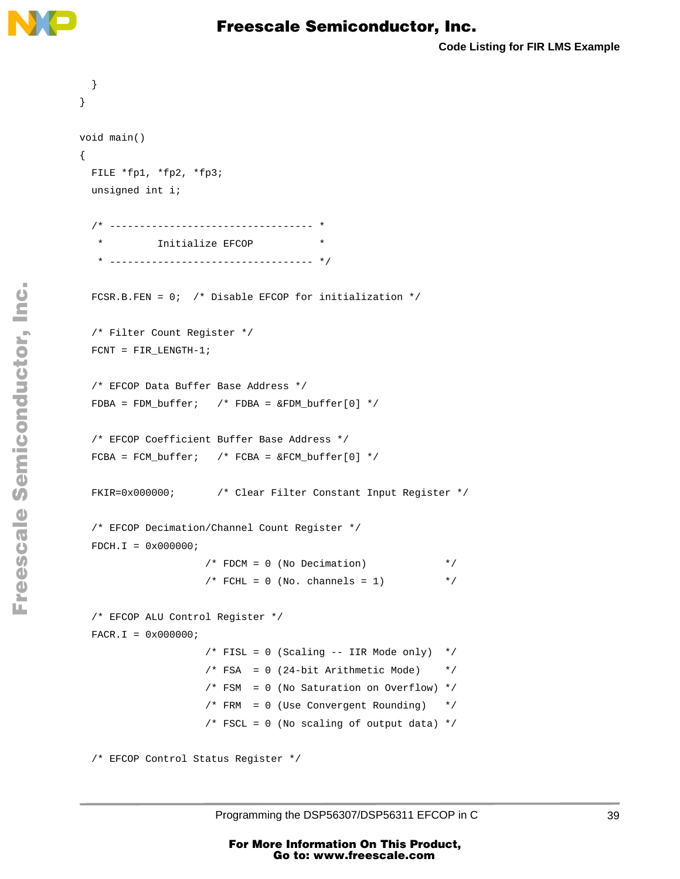

```
 }
}
void main()
{
  FILE *fp1, *fp2, *fp3;
  unsigned int i;
   /* ---------------------------------- *
    * Initialize EFCOP *
      * ---------------------------------- */
 FCSR.B.FEN = 0; /* Disable EFCOP for initialization */
  /* Filter Count Register */
  FCNT = FIR_LENGTH-1; 
   /* EFCOP Data Buffer Base Address */
 FDBA = FDM_buffer; /* FDBA = \& FDM_buffer[0] * / /* EFCOP Coefficient Buffer Base Address */
 FCBA = FCM buffer; /* FCBA = &FCM buffer[0] */
  FKIR=0x000000; /* Clear Filter Constant Input Register */
  /* EFCOP Decimation/Channel Count Register */
 FDCH.I = 0x000000i/* FDCM = 0 (No Decimation) */
                    /* FCHL = 0 (No. channels = 1) * /* EFCOP ALU Control Register */
 FACT. I = 0 \times 0000000i/* FISL = 0 (Scaling -- IIR Mode only) */
                    /* FSA = 0 (24-bit Arithmetic Mode) *//* FSM = 0 (No Saturation on Overflow) */
                    /* FRM = 0 (Use Convergent Rounding) *//* FSCL = 0 (No scaling of output data) */ /* EFCOP Control Status Register */
```
n d u  $\mathbf 0$ t o

r, I

n

.<br>ق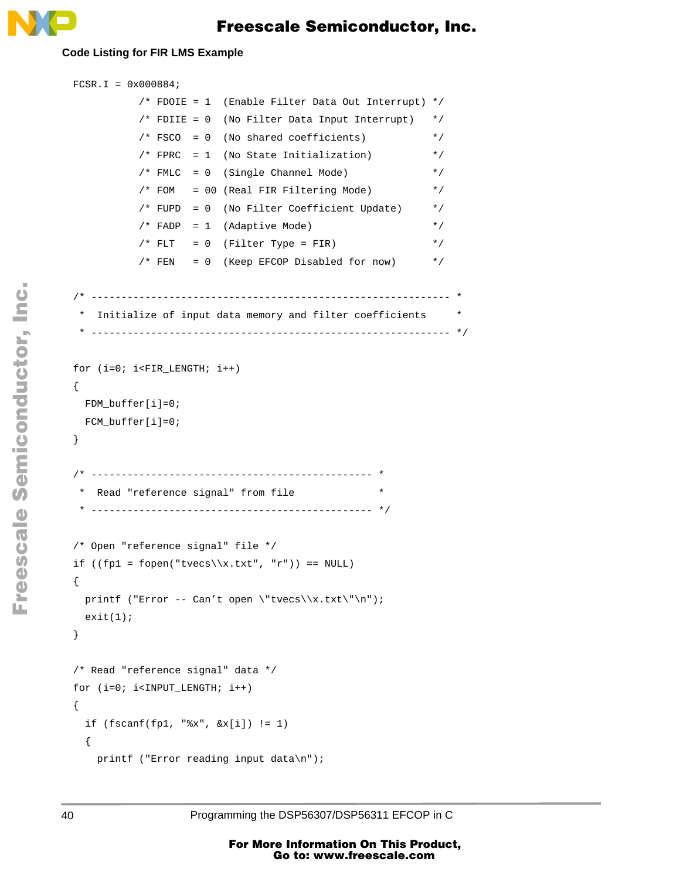

#### **Code Listing for FIR LMS Example**

```
 FCSR.I = 0x000884;
             /* FDOIE = 1 (Enable Filter Data Out Interrupt) */
            /* FDIIE = 0 (No Filter Data Input Interrupt) */ /* FSCO = 0 (No shared coefficients) */
            /* FPRC = 1 (No State Initialization) */* FMLC = 0 (Single Channel Mode) */
            /* FOM = 00 (Real FIR Filtering Mode) * /* FUPD = 0 (No Filter Coefficient Update) */
            /* FADP = 1 (Adaptive Mode) */
            /* FLT = 0 (Filter Type = FIR) */* FEN = 0 (Keep EFCOP Disabled for now) * /* ------------------------------------------------------------ *
   * Initialize of input data memory and filter coefficients *
   * ------------------------------------------------------------ */
  for (i=0; i<FIR_LENGTH; i++)
  {
    FDM_buffer[i]=0;
   FCM buffer[i]=0; }
  /* ----------------------------------------------- *
   * Read "reference signal" from file *
   * ----------------------------------------------- */
  /* Open "reference signal" file */
 if ((fp1 = fopen("tvecs\\x.txt", "r")) == NULL) {
   printf ("Error -- Can't open \"tvecs\\x.txt\"\n");
   exit(1); }
  /* Read "reference signal" data */
 for (i=0; i<1NPUT LENGTH; i++)
  {
   if (fscanf(fp1, "8x", 6x[i]) != 1)\left\{\begin{array}{ccc} \end{array}\right\} printf ("Error reading input data\n");
```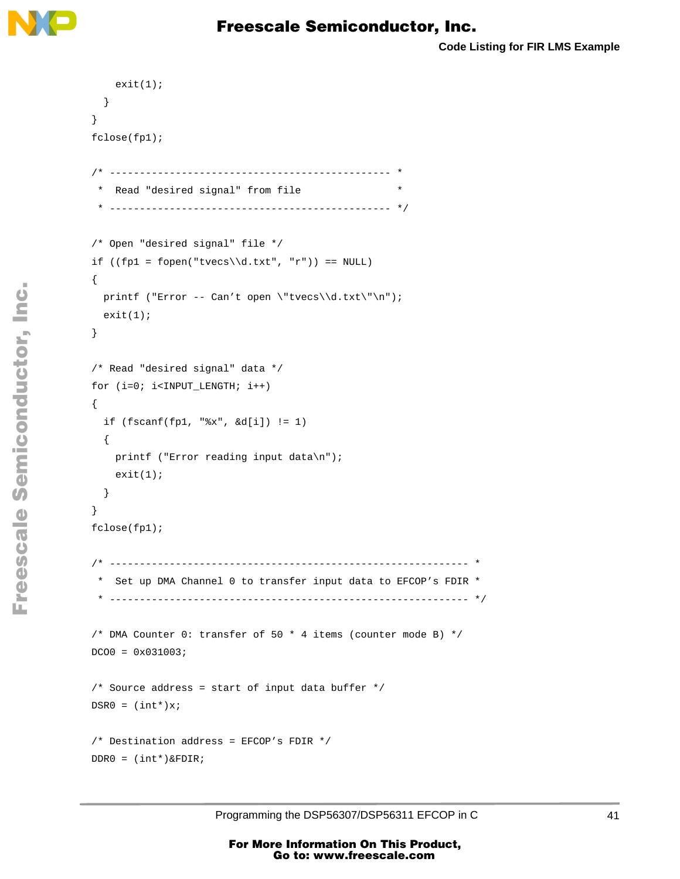

```
 exit(1);
     }
  }
  fclose(fp1);
  /* ----------------------------------------------- *
    * Read "desired signal" from file *
    * ----------------------------------------------- */
  /* Open "desired signal" file */
 if ((fp1 = fopen("tvecs\\d.txt", "r")) == NULL)
  {
   printf ("Error -- Can't open \"tvecs\\d.txt\"\n");
   exit(1); }
  /* Read "desired signal" data */
  for (i=0; i<INPUT_LENGTH; i++) 
  {
   if (fscanf(fp1, "8x", \&d[i]) != 1)\left\{\begin{array}{ccc} \end{array}\right\} printf ("Error reading input data\n");
     exit(1); }
  }
  fclose(fp1);
  /* ------------------------------------------------------------ *
    * Set up DMA Channel 0 to transfer input data to EFCOP's FDIR *
    * ------------------------------------------------------------ */
  /* DMA Counter 0: transfer of 50 * 4 items (counter mode B) */
 DCOO = 0 \times 031003; /* Source address = start of input data buffer */
 DSR0 = (int*)x; /* Destination address = EFCOP's FDIR */
  DDR0 = (int*)&FDIR;
```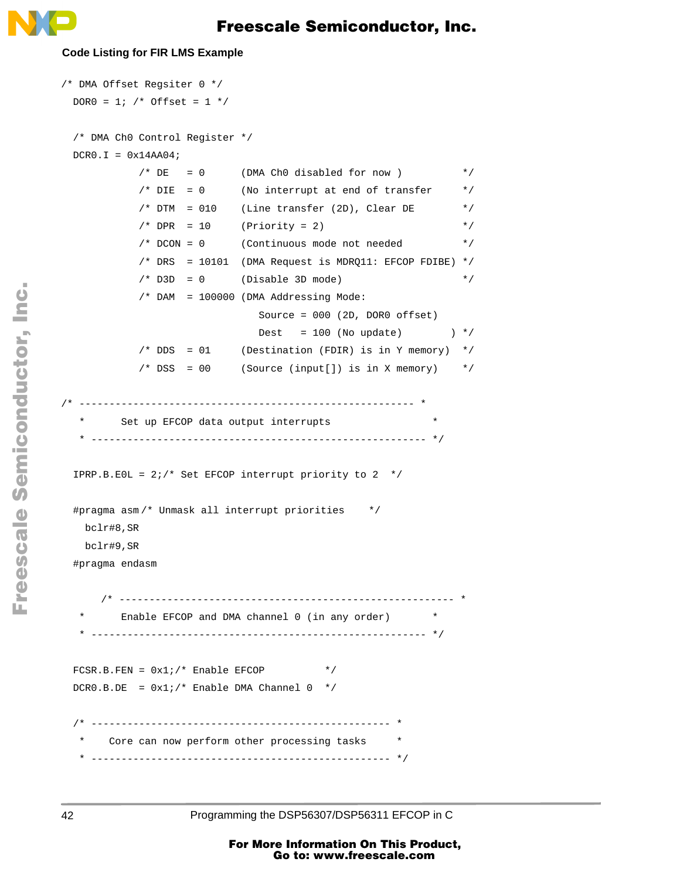

#### **Code Listing for FIR LMS Example**

```
/* DMA Offset Regsiter 0 */
 DOR0 = 1; /* Offset = 1 */
  /* DMA Ch0 Control Register */
 DCRO.L = 0x14AAO4;/* DE = 0 (DMA Ch0 disabled for now ) */* DIE = 0 (No interrupt at end of transfer */* DTM = 010 (Line transfer (2D), Clear DE */* DPR = 10 (Priority = 2) */
            /* DCON = 0 (Continuous mode not needed */
           /* DRS = 10101 (DMA Request is MDRQ11: EFCOP FDIBE) *//* D3D = 0 (Disable 3D mode) * /* DAM = 100000 (DMA Addressing Mode:
                               Source = 000 (2D, DOR0 offset)
                              Dest = 100 (No update) \rightarrow / */
           /* DDS = 01 (Destination (FDIR) is in Y memory) */
           /* DSS = 00 (Source (input[]) is in X memory) */
/* -------------------------------------------------------- *
        Set up EFCOP data output interrupts
   * -------------------------------------------------------- */
 IPRP.B.E0L = 2i /* Set EFCOP interrupt priority to 2 */
  #pragma asm /* Unmask all interrupt priorities */
    bclr#8,SR
    bclr#9,SR
  #pragma endasm
      /* -------------------------------------------------------- *
        Enable EFCOP and DMA channel 0 (in any order) * * -------------------------------------------------------- */
 FCSR.B.FEN = 0x1i/* Enable EFCOP */
 DCR0.B.DE = 0x1i/* Enable DMA Channel 0 */ /* -------------------------------------------------- *
     Core can now perform other processing tasks
   * -------------------------------------------------- */
```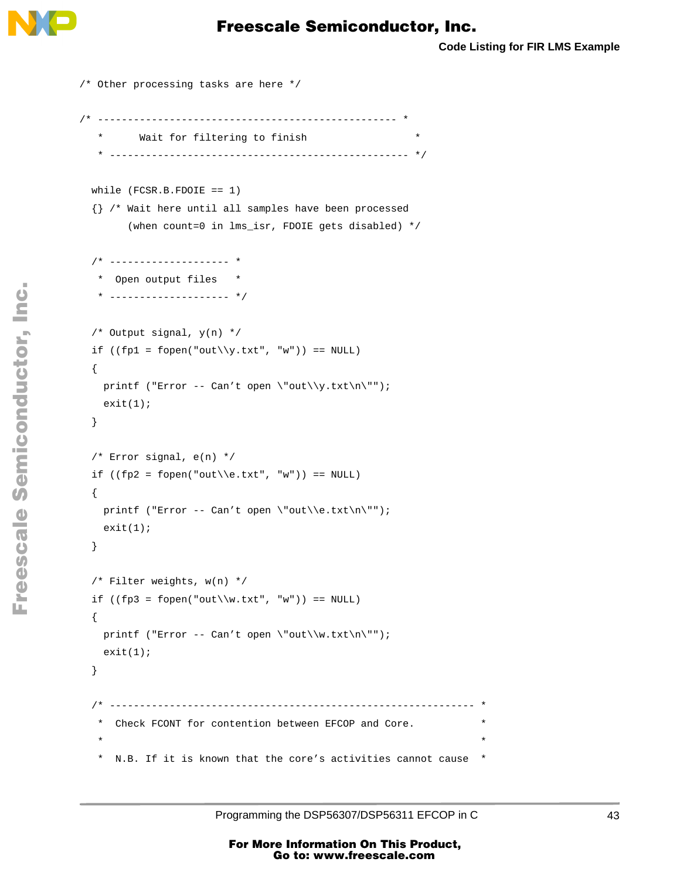

```
/* Other processing tasks are here */
/* -------------------------------------------------- *
   * Wait for filtering to finish *
   * -------------------------------------------------- */
  while (FCSR.B.FDOIE == 1)
  {} /* Wait here until all samples have been processed
        (when count=0 in lms_isr, FDOIE gets disabled) */
  /* -------------------- *
   * Open output files *
   * -------------------- */
  /* Output signal, y(n) */
 if ((fp1 = fopen("out\\y.txt", "w")) == NULL) {
   printf ("Error -- Can't open \"out\\y.txt\n\"");
   exit(1); }
  /* Error signal, e(n) */
 if ((fp2 = fopen("out\\e.txt", "w")) == NULL) {
   printf ("Error -- Can't open \"out\\e.txt\n\"");
   exit(1); }
  /* Filter weights, w(n) */
 if ((fp3 = fopen("out\\w.txt", "w")) == NULL) {
   printf ("Error -- Can't open \"out\\w.txt\n\"");
   exit(1); }
  /* ------------------------------------------------------------- *
   * Check FCONT for contention between EFCOP and Core. *
\star \star * N.B. If it is known that the core's activities cannot cause *
```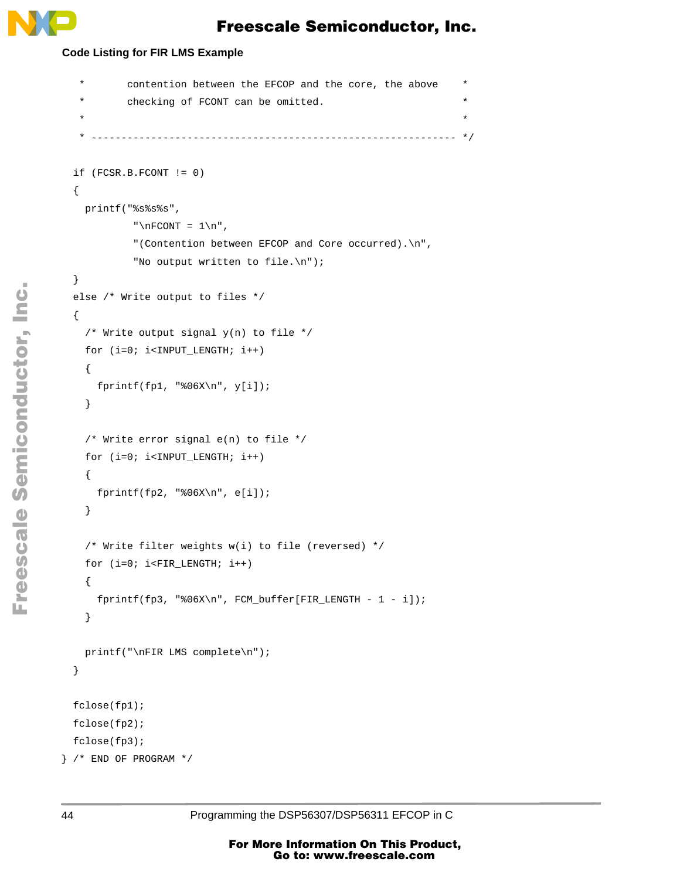#### **Code Listing for FIR LMS Example**

```
 * contention between the EFCOP and the core, the above *
          checking of FCONT can be omitted.
\star \star * ------------------------------------------------------------- */
  if (FCSR.B.FCONT != 0)
   {
    printf("%s%s%s",
            "\nFCONT = 1\n",
             "(Contention between EFCOP and Core occurred).\n",
             "No output written to file.\n");
  }
  else /* Write output to files */
  {
    /* Write output signal y(n) to file */
    for (i=0; i<INPUT_LENGTH; i++)
     {
     fprintf(fp1, "%06X\n", y[i]);
    }
    /* Write error signal e(n) to file */
   for (i=0; i<1NPUT LENGTH; i++)
     {
      fprintf(fp2, "%06X\n", e[i]);
    }
    /* Write filter weights w(i) to file (reversed) */
    for (i=0; i<FIR_LENGTH; i++)
     {
      fprintf(fp3, "%06X\n", FCM_buffer[FIR_LENGTH - 1 - i]);
    }
    printf("\nFIR LMS complete\n");
  }
  fclose(fp1);
  fclose(fp2);
  fclose(fp3);
} /* END OF PROGRAM */
```
d u  $\mathbf 0$ t o

r, I

n

.<br>ق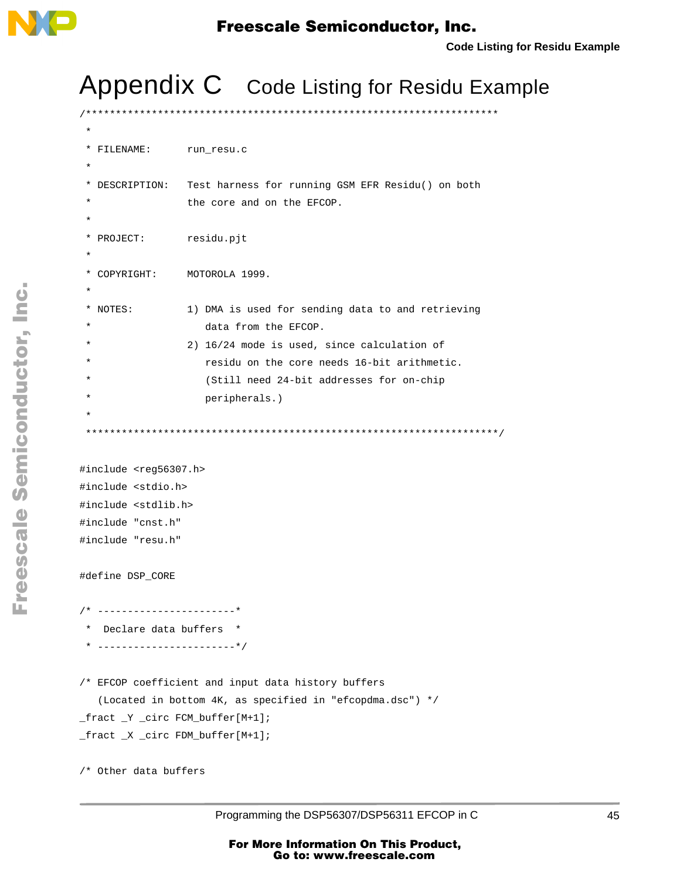<span id="page-44-0"></span>

# Appendix C Code Listing for Residu Example

```
/*********************************************************************
 *
  * FILENAME: run_resu.c
 *
  * DESCRIPTION: Test harness for running GSM EFR Residu() on both
                  the core and on the EFCOP.
 *
 * PROJECT: residu.pjt
 * 
  * COPYRIGHT: MOTOROLA 1999.
 *
  * NOTES: 1) DMA is used for sending data to and retrieving
                      data from the EFCOP.
                   2) 16/24 mode is used, since calculation of
                      residu on the core needs 16-bit arithmetic.
                      (Still need 24-bit addresses for on-chip
                      peripherals.)
 *
     *********************************************************************/
#include <reg56307.h>
#include <stdio.h>
#include <stdlib.h>
#include "cnst.h"
#include "resu.h" 
#define DSP_CORE
/* -----------------------*
  * Declare data buffers *
  * -----------------------*/
/* EFCOP coefficient and input data history buffers
    (Located in bottom 4K, as specified in "efcopdma.dsc") */
_fract _Y _circ FCM_buffer[M+1];
_fract _X _circ FDM_buffer[M+1];
/* Other data buffers
```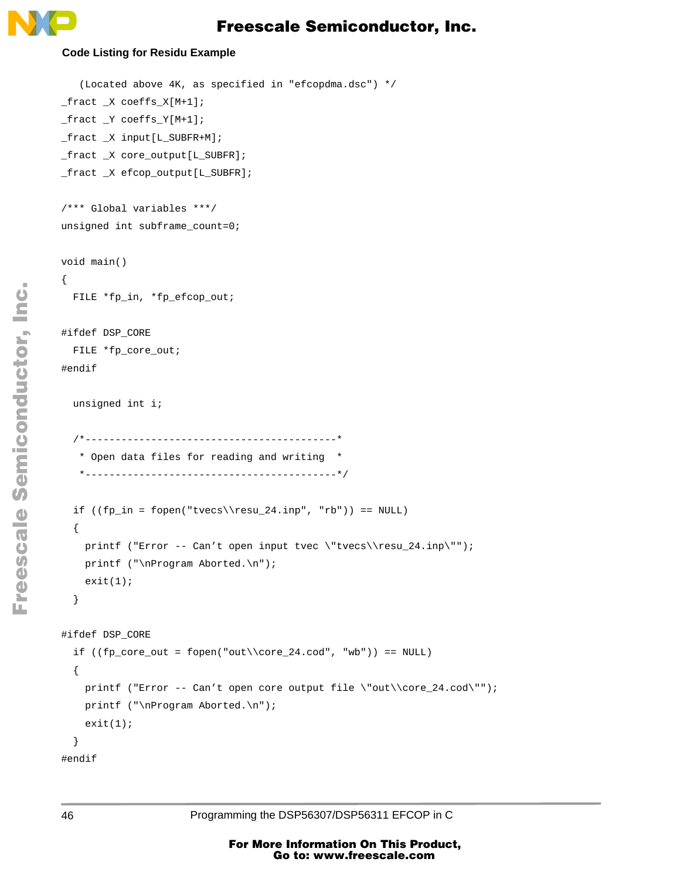

#### **Code Listing for Residu Example**

```
 (Located above 4K, as specified in "efcopdma.dsc") */
_fract _X coeffs_X[M+1];
_fract _Y coeffs_Y[M+1];
_fract _X input[L_SUBFR+M];
_fract _X core_output[L_SUBFR];
_fract _X efcop_output[L_SUBFR];
/*** Global variables ***/
unsigned int subframe_count=0;
void main()
{
   FILE *fp_in, *fp_efcop_out;
#ifdef DSP_CORE
   FILE *fp_core_out;
#endif
   unsigned int i;
   /*------------------------------------------*
    * Open data files for reading and writing *
    *------------------------------------------*/
  if ((fp_in = fopen("tvecs\\resu_24.inp", "rb")) == NULL) {
    printf ("Error -- Can't open input tvec \"tvecs\\resu_24.inp\"");
    printf ("\nProgram Aborted.\n");
    exit(1); }
#ifdef DSP_CORE
  if ((fp\_core\_out = fopen("out\\core\_24.cod", "wb")) == NULL)\{printf ("Error -- Can't open core output file \"out\\core_24.cod\"");
     printf ("\nProgram Aborted.\n");
    exit(1); }
```
 $\mathbf 0$ t o

r, I

n

.<br>ق

#endif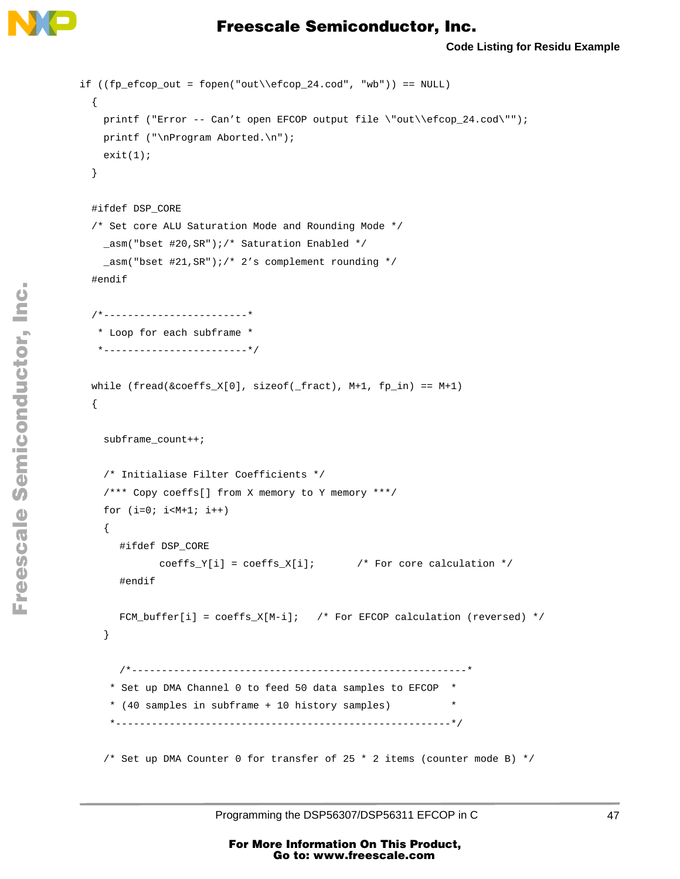

```
if ((fp_efcop_out = fopen("out\\efcop_24.cod", "wb")) == NULL) {
    printf ("Error -- Can't open EFCOP output file \"out\\efcop_24.cod\"");
   printf ("\nProgram Aborted.\n");
   exit(1); }
  #ifdef DSP_CORE
  /* Set core ALU Saturation Mode and Rounding Mode */
    _asm("bset #20,SR");/* Saturation Enabled */
    _asm("bset #21,SR");/* 2's complement rounding */
  #endif
  /*------------------------*
   * Loop for each subframe *
   *------------------------*/
 while (fread(&coeffs_X[0], sizeof(\_fract), M+1, fp_in) == M+1) {
    subframe_count++;
    /* Initialiase Filter Coefficients */
    /*** Copy coeffs[] from X memory to Y memory ***/
   for (i=0; i < M+1; i++) {
      #ifdef DSP_CORE
             coeffs_Y[i] = coeffs_X[i]; /* For core calculation */
      #endif
      FCM\_buffer[i] = coeffs_X[M-i]; /* For EFCOP calculation (reversed) */
    }
      /*--------------------------------------------------------*
      * Set up DMA Channel 0 to feed 50 data samples to EFCOP *
      * (40 samples in subframe + 10 history samples) *
      *--------------------------------------------------------*/
    /* Set up DMA Counter 0 for transfer of 25 * 2 items (counter mode B) */
```
o n d u  $\mathbf 0$ t o

r, I

n

.<br>ق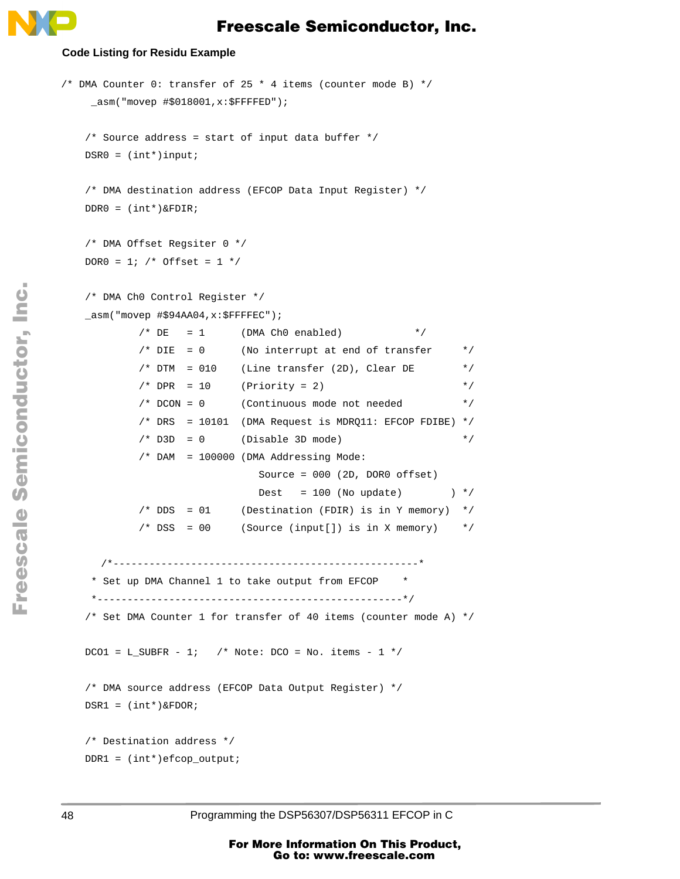#### **Code Listing for Residu Example**

```
/* DMA Counter 0: transfer of 25 * 4 items (counter mode B) */
     _asm("movep #$018001,x:$FFFFED");
    /* Source address = start of input data buffer */
   DSR0 = (int*)input; /* DMA destination address (EFCOP Data Input Register) */
   DDR0 = (int*)\&FDIR; /* DMA Offset Regsiter 0 */
   DOR0 = 1; /* Offset = 1 */
    /* DMA Ch0 Control Register */
    _asm("movep #$94AA04,x:$FFFFEC"); 
            /* DE = 1 (DMA Ch0 enabled) */
            /* DIE = 0 (No interrupt at end of transfer */
            /* DTM = 010 (Line transfer (2D), Clear DE */
            /* DPR = 10 (Priority = 2) */ /* DCON = 0 (Continuous mode not needed */
             /* DRS = 10101 (DMA Request is MDRQ11: EFCOP FDIBE) */
            /* D3D = 0 (Disable 3D mode) */
             /* DAM = 100000 (DMA Addressing Mode:
                               Source = 000 (2D, DOR0 offset)
                              Dest = 100 (No update) \rightarrow /*/
            /* DDS = 01 (Destination (FDIR) is in Y memory) */
            /* DSS = 00 (Source (input[]) is in X memory) *//*---------------------------------------------------*
     * Set up DMA Channel 1 to take output from EFCOP *
     *---------------------------------------------------*/
    /* Set DMA Counter 1 for transfer of 40 items (counter mode A) */
   DCO1 = L SUBFR - 1; /* Note: DCO = NO. items - 1 */
    /* DMA source address (EFCOP Data Output Register) */
   DSR1 = (int*)\&FDOR; /* Destination address */
    DDR1 = (int*)efcop_output;
```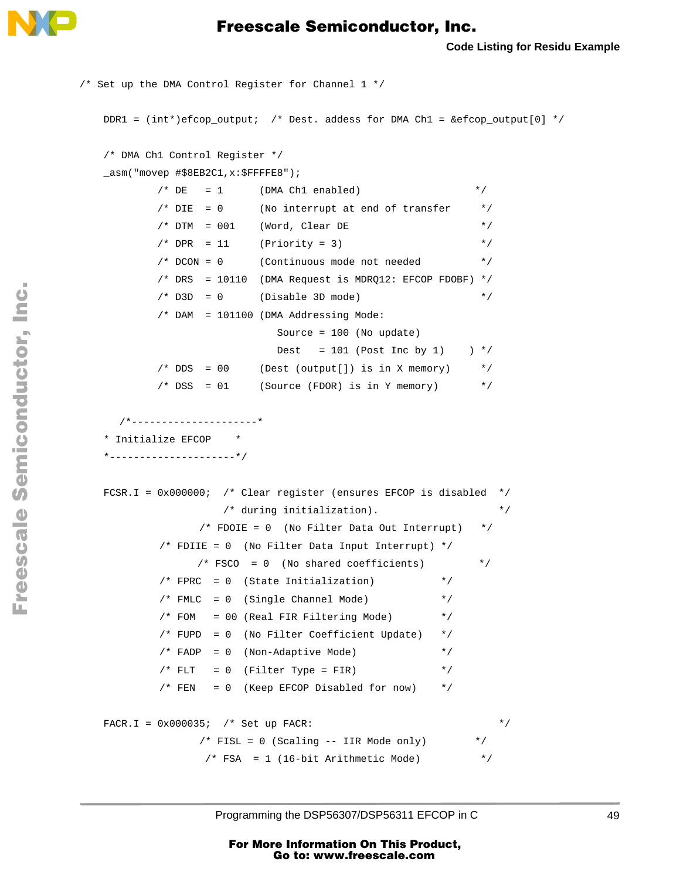

```
/* Set up the DMA Control Register for Channel 1 */
    DDR1 = (int*)efcop_output; /* Dest. addess for DMA Ch1 = &efcop_output[0] */
    /* DMA Ch1 Control Register */
   asm("movep #$8EB2C1,x:$FFFFE8");
          /* DE = 1 (DMA Ch1 enabled) */
          /* DIE = 0 (No interrupt at end of transfer */
          /* DTM = 001 (Word, Clear DE */
          /* DPR = 11 (Priority = 3) */
           /* DCON = 0 (Continuous mode not needed */
          /* DRS = 10110 (DMA Request is MDRO12: EFCOP FDOBF) *//* D3D = 0 (Disable 3D mode) */
           /* DAM = 101100 (DMA Addressing Mode:
                           Source = 100 (No update)
                          Dest = 101 (Post Inc by 1) *//* DDS = 00 (Dest (output[]) is in X memory) */
          /* DSS = 01 (Source (FDOR) is in Y memory) */*---------------------*
    * Initialize EFCOP *
    *---------------------*/
   FCSR.I = 0x000000; /* Clear register (ensures EFCOP is disabled */
                    /* during initialization). */
                /* FDOIE = 0 (No Filter Data Out Interrupt) */
           /* FDIIE = 0 (No Filter Data Input Interrupt) */
                /* FSCO = 0 (No shared coefficients) */
          /* FPRC = 0 (State Initialization) * /* FMLC = 0 (Single Channel Mode) */
          /* FOM = 00 (Real FIR Filtering Mode) * / /* FUPD = 0 (No Filter Coefficient Update) */
           /* FADP = 0 (Non-Adaptive Mode) */
          /* FLT = 0 (Filter Type = FIR) */
           /* FEN = 0 (Keep EFCOP Disabled for now) */FACR.I = 0x000035; /* Set up FACR: */* FISL = 0 (Scaling -- IIR Mode only) */* FSA = 1 (16-bit Arithmetic Mode) *
```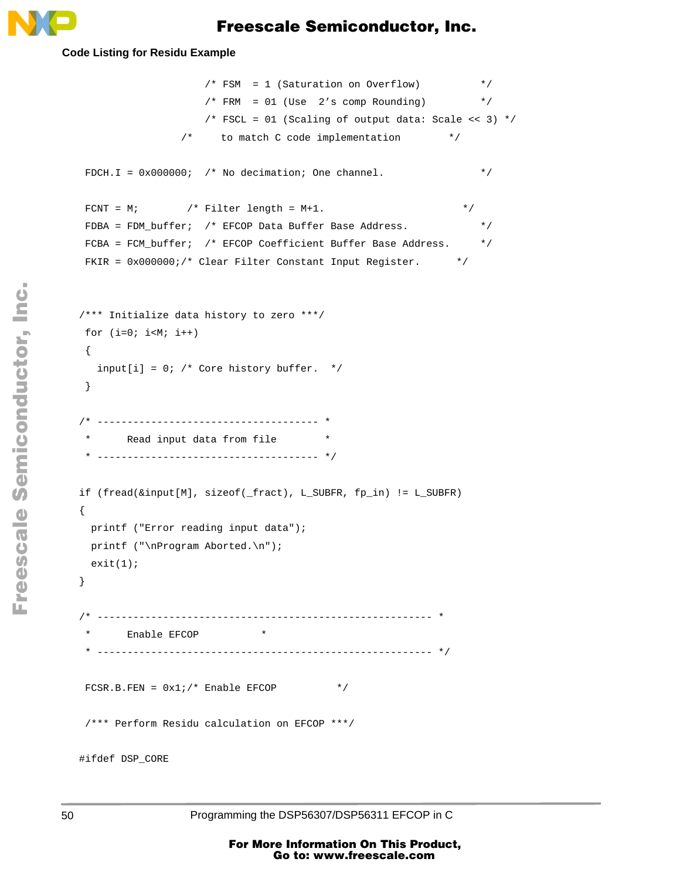

#### **Code Listing for Residu Example**

```
 /* FSM = 1 (Saturation on Overflow) */
                   /* FRM = 01 (Use 2's comp Rounding) */
                   /* FSCL = 01 (Scaling of output data: Scale << 3) */
               /* to match C code implementation */
FDCH.I = 0x000000; /* No decimation; One channel. */
FCNT = M; /* Filter length = M+1. * /FDBA = FDM_buffer; /* EFCOP Data Buffer Base Address. */
 FCBA = FCM_buffer; /* EFCOP Coefficient Buffer Base Address. */
FKIR = 0x000000i/* Clear Filter Constant Input Register. */
 /*** Initialize data history to zero ***/
for (i=0; i< M; i++) {
  input[i] = 0; /* Core history buffer. */
 }
 /* ------------------------------------- *
       Read input data from file * * ------------------------------------- */
 if (fread(&input[M], sizeof(_fract), L_SUBFR, fp_in) != L_SUBFR)
 {
  printf ("Error reading input data");
 printf ("\nProgram Aborted.\n");
 exit(1); }
     /* -------------------------------------------------------- *
       Enable EFCOP *
  * -------------------------------------------------------- */
FCSR.B.FEN = 0x1i/* Enable EFCOP */
 /*** Perform Residu calculation on EFCOP ***/
 #ifdef DSP_CORE
```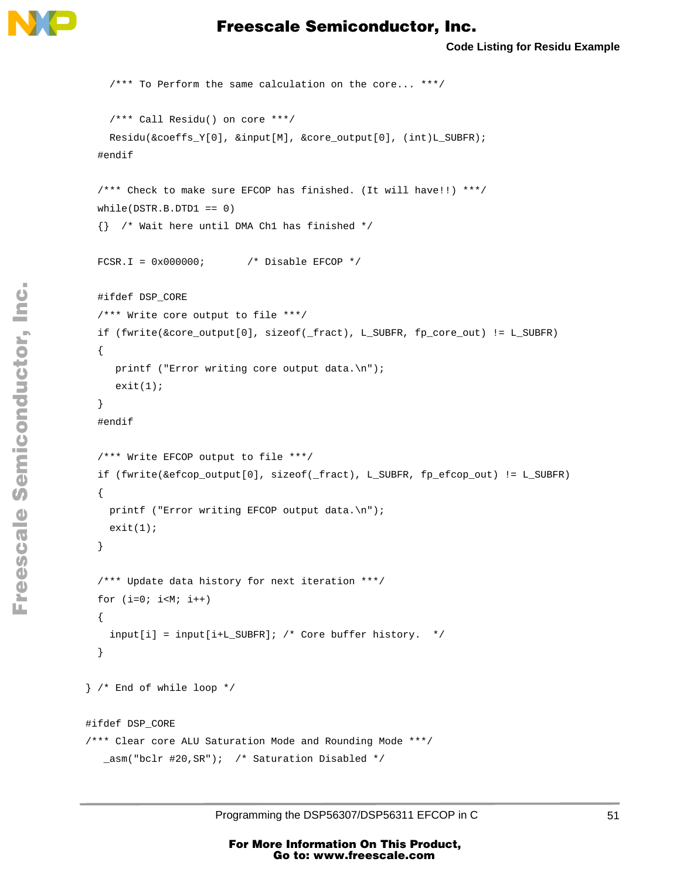

```
 /*** To Perform the same calculation on the core... ***/
     /*** Call Residu() on core ***/
    Residu(&coeffs_Y[0], &input[M], &core_output[0], (int)L_SUBFR);
   #endif
   /*** Check to make sure EFCOP has finished. (It will have!!) ***/
  while(DSTR.B.DTD1 == 0) {} /* Wait here until DMA Ch1 has finished */
  FCSR.I = 0x000000; /* Disable EFCOP */
   #ifdef DSP_CORE
   /*** Write core output to file ***/
   if (fwrite(&core_output[0], sizeof(_fract), L_SUBFR, fp_core_out) != L_SUBFR)
   {
     printf ("Error writing core output data.\n");
     exit(1); }
   #endif
   /*** Write EFCOP output to file ***/
   if (fwrite(&efcop_output[0], sizeof(_fract), L_SUBFR, fp_efcop_out) != L_SUBFR)
   {
   printf ("Error writing EFCOP output data.\n");
    exit(1); }
   /*** Update data history for next iteration ***/
  for (i=0; i< M; i++) {
     input[i] = input[i+L_SUBFR]; /* Core buffer history. */
   }
 } /* End of while loop */
 #ifdef DSP_CORE
 /*** Clear core ALU Saturation Mode and Rounding Mode ***/
    _asm("bclr #20,SR"); /* Saturation Disabled */
```